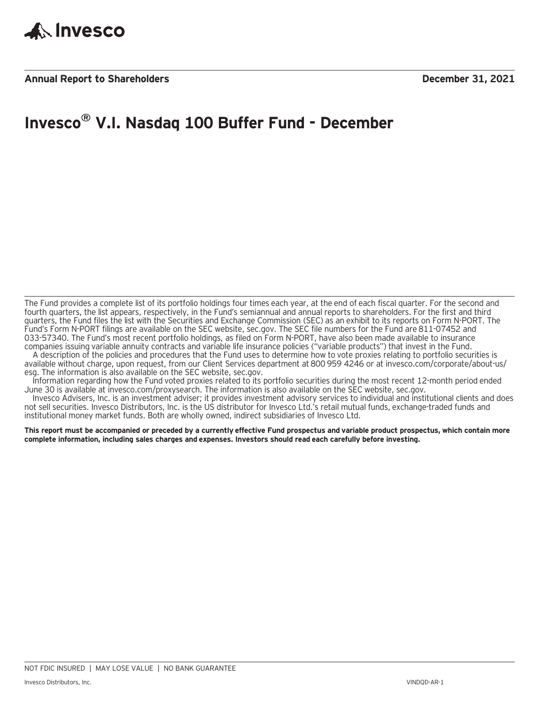

### **Invesco® V.I. Nasdaq 100 Buffer Fund - December**

The Fund provides a complete list of its portfolio holdings four times each year, at the end of each fiscal quarter. For the second and fourth quarters, the list appears, respectively, in the Fund's semiannual and annual reports to shareholders. For the first and third quarters, the Fund files the list with the Securities and Exchange Commission (SEC) as an exhibit to its reports on Form N-PORT. The Fund's Form N-PORT filings are available on the SEC website, sec.gov. The SEC file numbers for the Fund are 811-07452 and 033-57340. The Fund's most recent portfolio holdings, as filed on Form N-PORT, have also been made available to insurance companies issuing variable annuity contracts and variable life insurance policies ("variable products") that invest in the Fund.

A description of the policies and procedures that the Fund uses to determine how to vote proxies relating to portfolio securities is available without charge, upon request, from our Client Services department at 800 959 4246 or at invesco.com/corporate/about-us/ esg. The information is also available on the SEC website, sec.gov.

Information regarding how the Fund voted proxies related to its portfolio securities during the most recent 12-month period ended June 30 is available at invesco.com/proxysearch. The information is also available on the SEC website, sec.gov.

Invesco Advisers, Inc. is an investment adviser; it provides investment advisory services to individual and institutional clients and does not sell securities. Invesco Distributors, Inc. is the US distributor for Invesco Ltd.'s retail mutual funds, exchange-traded funds and institutional money market funds. Both are wholly owned, indirect subsidiaries of Invesco Ltd.

**This report must be accompanied or preceded by a currently effective Fund prospectus and variable product prospectus, which contain more complete information, including sales charges and expenses. Investors should read each carefully before investing.**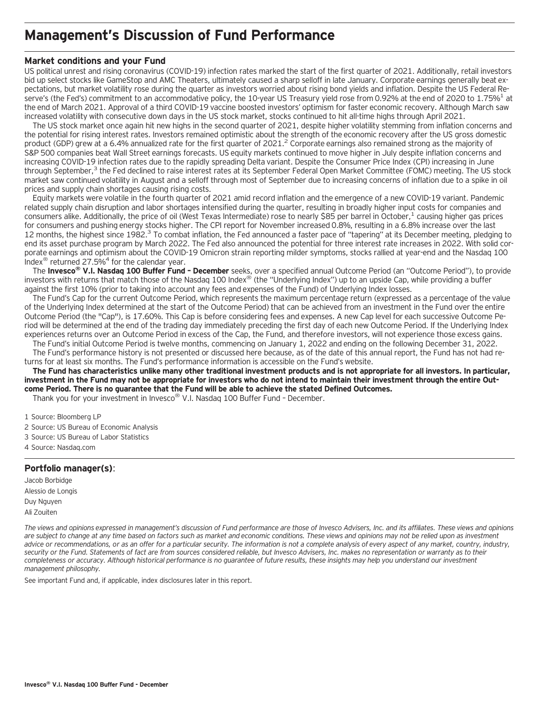### **Management's Discussion of Fund Performance**

#### **Market conditions and your Fund**

US political unrest and rising coronavirus (COVID-19) infection rates marked the start of the first quarter of 2021. Additionally, retail investors bid up select stocks like GameStop and AMC Theaters, ultimately caused a sharp selloff in late January. Corporate earnings generally beat expectations, but market volatility rose during the quarter as investors worried about rising bond yields and inflation. Despite the US Federal Reserve's (the Fed's) commitment to an accommodative policy, the 10-year US Treasury yield rose from 0.92% at the end of 2020 to 1.75%<sup>1</sup> at the end of March 2021. Approval of a third COVID-19 vaccine boosted investors' optimism for faster economic recovery. Although March saw increased volatility with consecutive down days in the US stock market, stocks continued to hit all-time highs through April 2021.

The US stock market once again hit new highs in the second quarter of 2021, despite higher volatility stemming from inflation concerns and the potential for rising interest rates. Investors remained optimistic about the strength of the economic recovery after the US gross domestic product (GDP) grew at a 6.4% annualized rate for the first quarter of 2021.<sup>2</sup> Corporate earnings also remained strong as the majority of S&P 500 companies beat Wall Street earnings forecasts. US equity markets continued to move higher in July despite inflation concerns and increasing COVID-19 infection rates due to the rapidly spreading Delta variant. Despite the Consumer Price Index (CPI) increasing in June through September,<sup>3</sup> the Fed declined to raise interest rates at its September Federal Open Market Committee (FOMC) meeting. The US stock market saw continued volatility in August and a selloff through most of September due to increasing concerns of inflation due to a spike in oil prices and supply chain shortages causing rising costs.

Equity markets were volatile in the fourth quarter of 2021 amid record inflation and the emergence of a new COVID-19 variant. Pandemic related supply chain disruption and labor shortages intensified during the quarter, resulting in broadly higher input costs for companies and consumers alike. Additionally, the price of oil (West Texas Intermediate) rose to nearly \$85 per barrel in October,<sup>1</sup> causing higher gas prices for consumers and pushing energy stocks higher. The CPI report for November increased 0.8%, resulting in a 6.8% increase over the last 12 months, the highest since 1982.<sup>3</sup> To combat inflation, the Fed announced a faster pace of "tapering" at its December meeting, pledging to end its asset purchase program by March 2022. The Fed also announced the potential for three interest rate increases in 2022. With solid corporate earnings and optimism about the COVID-19 Omicron strain reporting milder symptoms, stocks rallied at year-end and the Nasdaq 100 Index<sup>®</sup> returned 27.5%<sup>4</sup> for the calendar year.

The **Invesco® V.I. Nasdaq 100 Buffer Fund – December** seeks, over a specified annual Outcome Period (an "Outcome Period"), to provide investors with returns that match those of the Nasdaq 100 Index® (the "Underlying Index") up to an upside Cap, while providing a buffer against the first 10% (prior to taking into account any fees and expenses of the Fund) of Underlying Index losses.

The Fund's Cap for the current Outcome Period, which represents the maximum percentage return (expressed as a percentage of the value of the Underlying Index determined at the start of the Outcome Period) that can be achieved from an investment in the Fund over the entire Outcome Period (the "Cap"), is 17.60%. This Cap is before considering fees and expenses. A new Cap level for each successive Outcome Period will be determined at the end of the trading day immediately preceding the first day of each new Outcome Period. If the Underlying Index experiences returns over an Outcome Period in excess of the Cap, the Fund, and therefore investors, will not experience those excess gains.

The Fund's initial Outcome Period is twelve months, commencing on January 1, 2022 and ending on the following December 31, 2022. The Fund's performance history is not presented or discussed here because, as of the date of this annual report, the Fund has not had returns for at least six months. The Fund's performance information is accessible on the Fund's website.

**The Fund has characteristics unlike many other traditional investment products and is not appropriate for all investors. In particular, investment in the Fund may not be appropriate for investors who do not intend to maintain their investment through the entire Outcome Period. There is no guarantee that the Fund will be able to achieve the stated Defined Outcomes.**

Thank you for your investment in Invesco® V.I. Nasdaq 100 Buffer Fund – December.

1 Source: Bloomberg LP

- 2 Source: US Bureau of Economic Analysis
- 3 Source: US Bureau of Labor Statistics
- 4 Source: Nasdaq.com

#### **Portfolio manager(s)**:

Jacob Borbidge Alessio de Longis Duy Nguyen Ali Zouiten

*The views and opinions expressed in management's discussion of Fund performance are those of Invesco Advisers, Inc. and its affiliates. These views and opinions are subject to change at any time based on factors such as market and economic conditions. These views and opinions may not be relied upon as investment advice or recommendations, or as an offer for a particular security. The information is not a complete analysis of every aspect of any market, country, industry, security or the Fund. Statements of fact are from sources considered reliable, but Invesco Advisers, Inc. makes no representation or warranty as to their completeness or accuracy. Although historical performance is no guarantee of future results, these insights may help you understand our investment management philosophy.*

See important Fund and, if applicable, index disclosures later in this report.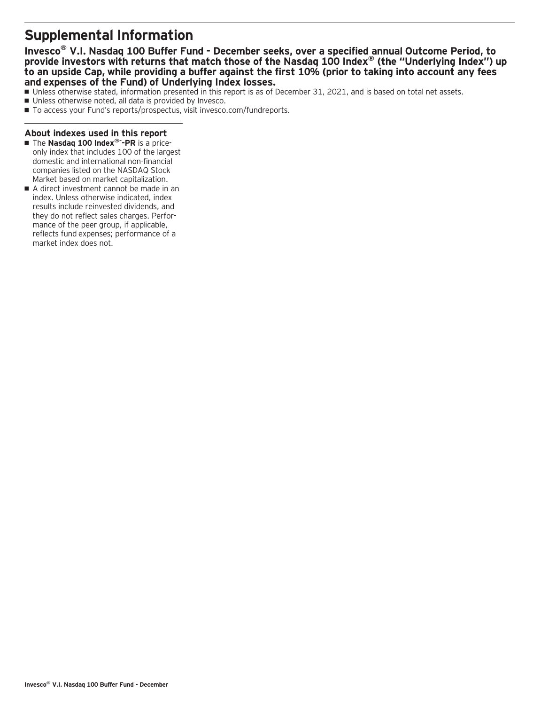### **Supplemental Information**

**Invesco® V.I. Nasdaq 100 Buffer Fund - December seeks, over a specified annual Outcome Period, to provide investors with returns that match those of the Nasdaq 100 Index® (the "Underlying Index") up to an upside Cap, while providing a buffer against the first 10% (prior to taking into account any fees and expenses of the Fund) of Underlying Index losses.**

- Unless otherwise stated, information presented in this report is as of December 31, 2021, and is based on total net assets.
- Unless otherwise noted, all data is provided by Invesco.
- To access your Fund's reports/prospectus, visit invesco.com/fundreports.

#### **About indexes used in this report**

- The Nasdaq 100 Index®<sup>-</sup>-PR is a priceonly index that includes 100 of the largest domestic and international non-financial companies listed on the NASDAQ Stock Market based on market capitalization.
- A direct investment cannot be made in an index. Unless otherwise indicated, index results include reinvested dividends, and they do not reflect sales charges. Performance of the peer group, if applicable, reflects fund expenses; performance of a market index does not.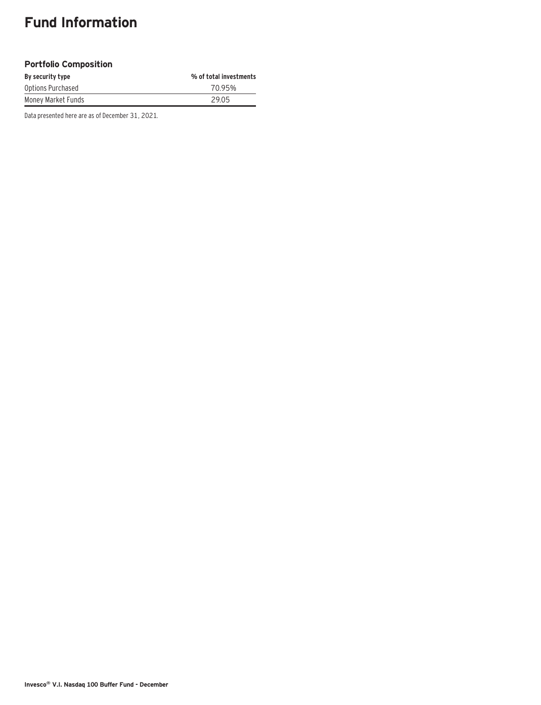### **Fund Information**

#### **Portfolio Composition**

| By security type   | % of total investments |
|--------------------|------------------------|
| Options Purchased  | 70.95%                 |
| Money Market Funds | 29.05                  |

Data presented here are as of December 31, 2021.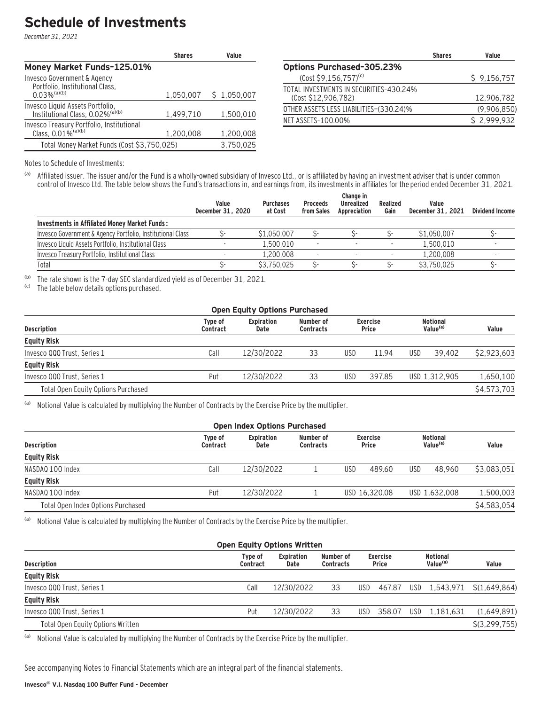### **Schedule of Investments**

December 31, 2021

|                                                                                  | <b>Shares</b> | Value       |
|----------------------------------------------------------------------------------|---------------|-------------|
| Money Market Funds-125.01%                                                       |               |             |
| Invesco Government & Agency<br>Portfolio, Institutional Class,                   |               |             |
| $0.03\%$ <sup>(a)(b)</sup>                                                       | 1,050,007     | \$1,050,007 |
| Invesco Liquid Assets Portfolio,<br>Institutional Class, 0.02% <sup>(a)(b)</sup> | 1.499.710     | 1,500,010   |
| Invesco Treasury Portfolio, Institutional<br>Class, 0.01% <sup>(a)(b)</sup>      | 1,200,008     | 1,200,008   |
| Total Money Market Funds (Cost \$3,750,025)                                      |               | 3,750,025   |

|                                                                | <b>Shares</b> | Value       |
|----------------------------------------------------------------|---------------|-------------|
| <b>Options Purchased-305.23%</b>                               |               |             |
| $(Cost $9,156,757)^{(c)}$                                      |               | \$9,156,757 |
| TOTAL INVESTMENTS IN SECURITIES-430.24%<br>(Cost \$12,906,782) |               | 12.906.782  |
| OTHER ASSETS LESS LIABILITIES–(330.24)%                        |               | (9,906,850) |
| NET ASSETS-100.00%                                             |               | \$2,999,932 |

Notes to Schedule of Investments:

(a) Affiliated issuer. The issuer and/or the Fund is a wholly-owned subsidiary of Invesco Ltd., or is affiliated by having an investment adviser that is under common control of Invesco Ltd. The table below shows the Fund's transactions in, and earnings from, its investments in affiliates for the period ended December 31, 2021.

|                                                            | Value<br>December 31, 2020 | <b>Purchases</b><br>at Cost | <b>Proceeds</b><br>from Sales | Change in<br><b>Unrealized</b><br>Appreciation | Realized<br>Gain         | Value<br>December 31, 2021 | <b>Dividend Income</b> |
|------------------------------------------------------------|----------------------------|-----------------------------|-------------------------------|------------------------------------------------|--------------------------|----------------------------|------------------------|
| Investments in Affiliated Money Market Funds:              |                            |                             |                               |                                                |                          |                            |                        |
| Invesco Government & Agency Portfolio, Institutional Class |                            | \$1,050,007                 |                               |                                                |                          | \$1,050,007                |                        |
| Invesco Liquid Assets Portfolio, Institutional Class       |                            | 1.500.010                   |                               |                                                | $\overline{\phantom{a}}$ | 1.500.010                  |                        |
| Invesco Treasury Portfolio, Institutional Class            |                            | 1.200.008                   |                               |                                                |                          | 1.200.008                  |                        |
| Total                                                      |                            | \$3.750.025                 |                               |                                                |                          | \$3.750.025                |                        |

(b) The rate shown is the 7-day SEC standardized yield as of December 31, 2021.

The table below details options purchased.

| <b>Open Equity Options Purchased</b> |                            |                    |                               |                          |        |                                         |               |             |  |  |
|--------------------------------------|----------------------------|--------------------|-------------------------------|--------------------------|--------|-----------------------------------------|---------------|-------------|--|--|
| <b>Description</b>                   | <b>Type of</b><br>Contract | Expiration<br>Date | Number of<br><b>Contracts</b> | <b>Exercise</b><br>Price |        | <b>Notional</b><br>Value <sup>(a)</sup> |               | Value       |  |  |
| <b>Equity Risk</b>                   |                            |                    |                               |                          |        |                                         |               |             |  |  |
| Invesco QQQ Trust, Series 1          | Call                       | 12/30/2022         | 33                            | USD                      | 11.94  | <b>USD</b>                              | 39.402        | \$2,923,603 |  |  |
| <b>Equity Risk</b>                   |                            |                    |                               |                          |        |                                         |               |             |  |  |
| Invesco QQQ Trust. Series 1          | Put                        | 12/30/2022         | 33                            | USD                      | 397.85 |                                         | USD 1.312.905 | 1.650.100   |  |  |
| Total Open Equity Options Purchased  |                            |                    |                               |                          |        |                                         |               | \$4,573,703 |  |  |

(a) Notional Value is calculated by multiplying the Number of Contracts by the Exercise Price by the multiplier.

| <b>Open Index Options Purchased</b> |                     |                           |                               |                                 |                                         |             |  |  |  |  |
|-------------------------------------|---------------------|---------------------------|-------------------------------|---------------------------------|-----------------------------------------|-------------|--|--|--|--|
| <b>Description</b>                  | Type of<br>Contract | <b>Expiration</b><br>Date | Number of<br><b>Contracts</b> | <b>Exercise</b><br><b>Price</b> | <b>Notional</b><br>Value <sup>(a)</sup> | Value       |  |  |  |  |
| <b>Equity Risk</b>                  |                     |                           |                               |                                 |                                         |             |  |  |  |  |
| NASDAQ 100 Index                    | Call                | 12/30/2022                |                               | USD<br>489.60                   | <b>USD</b><br>48.960                    | \$3.083.051 |  |  |  |  |
| <b>Equity Risk</b>                  |                     |                           |                               |                                 |                                         |             |  |  |  |  |
| NASDAO 100 Index                    | Put                 | 12/30/2022                |                               | USD 16.320.08                   | USD 1.632.008                           | 1,500,003   |  |  |  |  |
| Total Open Index Options Purchased  |                     |                           |                               |                                 |                                         | \$4,583,054 |  |  |  |  |

(a) Notional Value is calculated by multiplying the Number of Contracts by the Exercise Price by the multiplier.

| <b>Open Equity Options Written</b> |                     |                           |                               |                          |        |                                         |               |                                    |  |  |
|------------------------------------|---------------------|---------------------------|-------------------------------|--------------------------|--------|-----------------------------------------|---------------|------------------------------------|--|--|
| <b>Description</b>                 | Type of<br>Contract | <b>Expiration</b><br>Date | Number of<br><b>Contracts</b> | <b>Exercise</b><br>Price |        | <b>Notional</b><br>Value <sup>(a)</sup> |               | Value                              |  |  |
| <b>Equity Risk</b>                 |                     |                           |                               |                          |        |                                         |               |                                    |  |  |
| Invesco QQQ Trust, Series 1        | Call                | 12/30/2022                | 33                            | USD.                     |        |                                         |               | 467.87 USD 1,543,971 \$(1,649,864) |  |  |
| <b>Equity Risk</b>                 |                     |                           |                               |                          |        |                                         |               |                                    |  |  |
| Invesco QQQ Trust, Series 1        | Put                 | 12/30/2022                | 33                            | USD.                     | 358.07 |                                         | USD 1.181.631 | (1,649,891)                        |  |  |
| Total Open Equity Options Written  |                     |                           |                               |                          |        |                                         |               | \$(3, 299, 755)                    |  |  |

(a) Notional Value is calculated by multiplying the Number of Contracts by the Exercise Price by the multiplier.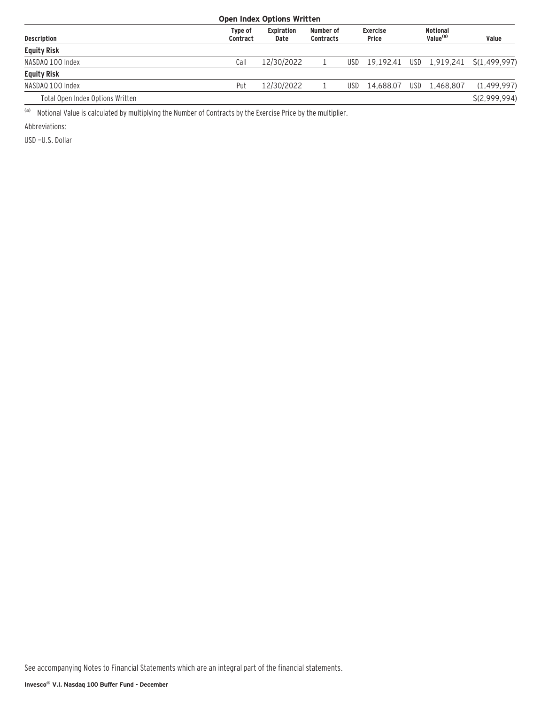| <b>Open Index Options Written</b> |                     |                           |                               |                          |           |                                         |               |                                       |  |  |
|-----------------------------------|---------------------|---------------------------|-------------------------------|--------------------------|-----------|-----------------------------------------|---------------|---------------------------------------|--|--|
| <b>Description</b>                | Type of<br>Contract | <b>Expiration</b><br>Date | Number of<br><b>Contracts</b> | <b>Exercise</b><br>Price |           | <b>Notional</b><br>Value <sup>(a)</sup> |               | Value                                 |  |  |
| <b>Equity Risk</b>                |                     |                           |                               |                          |           |                                         |               |                                       |  |  |
| NASDAQ 100 Index                  | Call                | 12/30/2022                |                               | USD                      |           |                                         |               | 19,192.41 USD 1,919,241 \$(1,499,997) |  |  |
| <b>Equity Risk</b>                |                     |                           |                               |                          |           |                                         |               |                                       |  |  |
| NASDAO 100 Index                  | Put                 | 12/30/2022                |                               | <b>USD</b>               | 14.688.07 |                                         | USD 1.468.807 | (1, 499, 997)                         |  |  |
| Total Open Index Options Written  |                     |                           |                               |                          |           |                                         |               | S(2.999.994)                          |  |  |

(a) Notional Value is calculated by multiplying the Number of Contracts by the Exercise Price by the multiplier.

Abbreviations:

USD —U.S. Dollar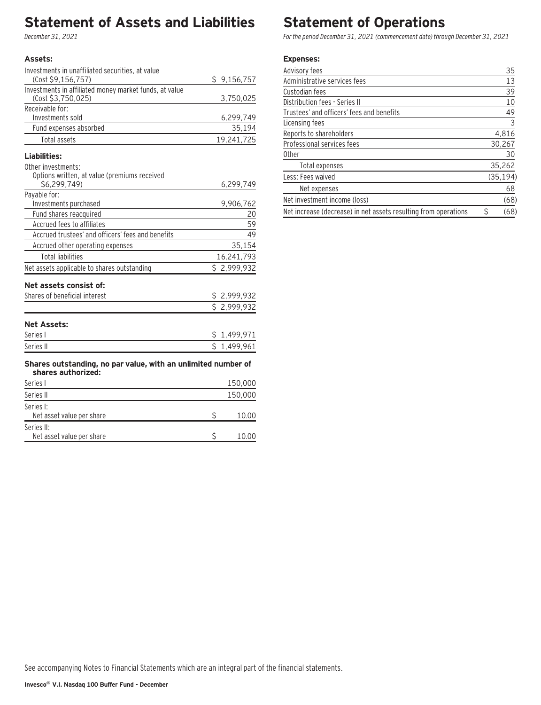### **Statement of Assets and Liabilities**

December 31, 2021

#### **Assets:**

Series II:

| Investments in unaffiliated securities, at value                                    |             |
|-------------------------------------------------------------------------------------|-------------|
| (Cost \$9,156,757)                                                                  | \$9,156,757 |
| Investments in affiliated money market funds, at value                              |             |
| (Cost \$3,750,025)                                                                  | 3,750,025   |
| Receivable for:                                                                     |             |
| Investments sold                                                                    | 6,299,749   |
| Fund expenses absorbed                                                              | 35,194      |
| Total assets                                                                        | 19,241,725  |
| Liabilities:                                                                        |             |
| Other investments:                                                                  |             |
| Options written, at value (premiums received                                        |             |
| \$6,299,749)                                                                        | 6,299,749   |
| Payable for:                                                                        |             |
| Investments purchased                                                               | 9,906,762   |
| Fund shares reacquired<br>Accrued fees to affiliates                                | 20          |
| Accrued trustees' and officers' fees and benefits                                   | 59<br>49    |
|                                                                                     |             |
| Accrued other operating expenses                                                    | 35,154      |
| <b>Total liabilities</b>                                                            | 16,241,793  |
| Net assets applicable to shares outstanding                                         | \$2,999,932 |
| Net assets consist of:                                                              |             |
| Shares of beneficial interest                                                       | \$2,999,932 |
|                                                                                     | \$2,999,932 |
|                                                                                     |             |
| <b>Net Assets:</b>                                                                  |             |
| Series I                                                                            | \$1,499,971 |
| Series II                                                                           | \$1,499,961 |
|                                                                                     |             |
| Shares outstanding, no par value, with an unlimited number of<br>shares authorized: |             |
| Series I                                                                            | 150,000     |
| Series II                                                                           | 150,000     |
| Series I:                                                                           |             |
| Net asset value per share                                                           | \$<br>10.00 |

Net asset value per share  $$ 10.00$ 

### **Statement of Operations**

For the period December 31, 2021 (commencement date) through December 31, 2021

#### **Expenses:**

| Advisory fees                                                   | 35        |
|-----------------------------------------------------------------|-----------|
| Administrative services fees                                    | 13        |
| Custodian fees                                                  | 39        |
| Distribution fees - Series II                                   | 10        |
| Trustees' and officers' fees and benefits                       | 49        |
| Licensing fees                                                  | 3         |
| Reports to shareholders                                         | 4,816     |
| Professional services fees                                      | 30,267    |
| 0ther                                                           | 30        |
| Total expenses                                                  | 35,262    |
| Less: Fees waived                                               | (35, 194) |
| Net expenses                                                    | 68        |
| Net investment income (loss)                                    | (68)      |
| Net increase (decrease) in net assets resulting from operations | (68)      |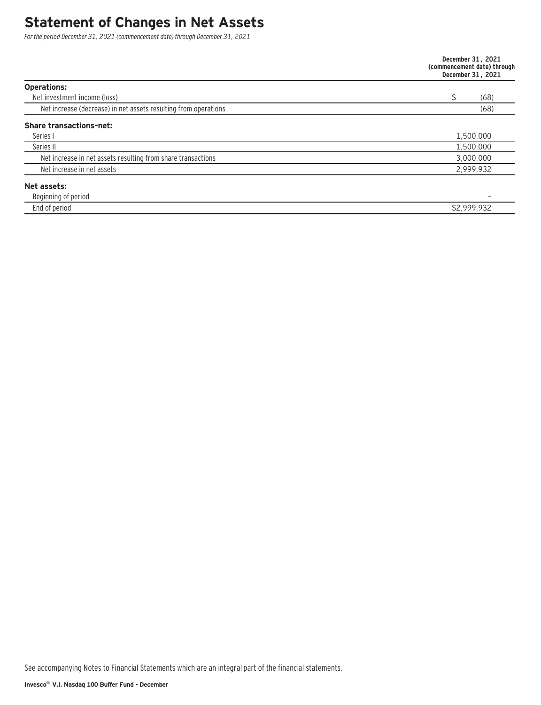### **Statement of Changes in Net Assets**

For the period December 31, 2021 (commencement date) through December 31, 2021

|                                                                 | December 31, 2021<br>(commencement date) through<br>December 31, 2021 |
|-----------------------------------------------------------------|-----------------------------------------------------------------------|
| <b>Operations:</b>                                              |                                                                       |
| Net investment income (loss)                                    | (68)                                                                  |
| Net increase (decrease) in net assets resulting from operations | (68)                                                                  |
| <b>Share transactions-net:</b>                                  |                                                                       |
| Series I                                                        | 1,500,000                                                             |
| Series II                                                       | 1,500,000                                                             |
| Net increase in net assets resulting from share transactions    | 3,000,000                                                             |
| Net increase in net assets                                      | 2,999,932                                                             |
| Net assets:                                                     |                                                                       |
| Beginning of period                                             |                                                                       |
| End of period                                                   | \$2,999,932                                                           |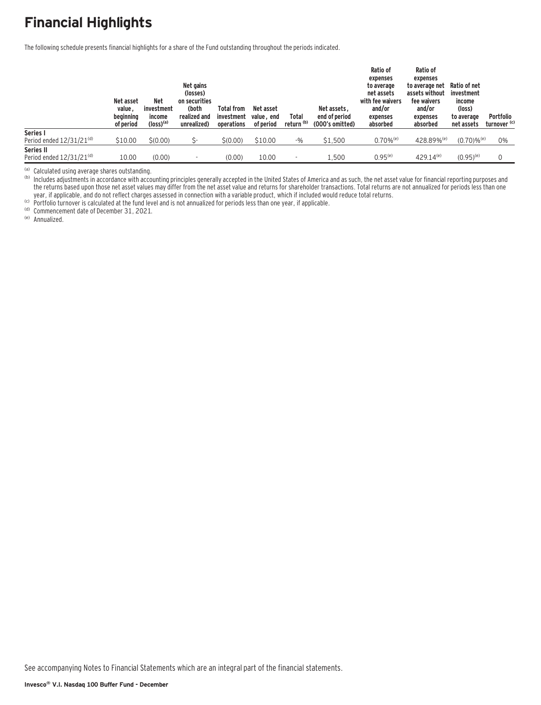## **Financial Highlights**

The following schedule presents financial highlights for a share of the Fund outstanding throughout the periods indicated.

|                               | Net asset<br>value,<br>beainnina<br>of period | <b>Net</b><br>investment<br>income<br>$(logs)$ <sup>(a)</sup> | Net gains<br>(losses)<br>on securities<br>(both<br>realized and<br>unrealized) | <b>Total from</b><br>investment<br>operations | Net asset<br>value, end<br>of period | Total<br>return (b) | Net assets.<br>end of period<br>(000's omitted) | Ratio of<br>expenses<br>to average<br>net assets<br>with fee waivers<br>and/or<br>expenses<br>absorbed | Ratio of<br>expenses<br>to average net<br>assets without<br>fee waivers<br>and/or<br>expenses<br>absorbed | Ratio of net<br>investment<br>income<br>(loss)<br>to average<br>net assets | <b>Portfolio</b><br>turnover <sup>(c)</sup> |
|-------------------------------|-----------------------------------------------|---------------------------------------------------------------|--------------------------------------------------------------------------------|-----------------------------------------------|--------------------------------------|---------------------|-------------------------------------------------|--------------------------------------------------------------------------------------------------------|-----------------------------------------------------------------------------------------------------------|----------------------------------------------------------------------------|---------------------------------------------|
| Series I                      |                                               |                                                               |                                                                                |                                               |                                      |                     |                                                 |                                                                                                        |                                                                                                           |                                                                            |                                             |
| Period ended $12/31/21^{(d)}$ | \$10.00                                       | \$(0.00)                                                      | ς.                                                                             | \$(0.00)                                      | \$10.00                              | $-9/0$              | \$1,500                                         | $0.70\%$ <sup>(e)</sup>                                                                                | 428.89% <sup>(e)</sup>                                                                                    | $(0.70) \%$ <sup>(e)</sup>                                                 | 0%                                          |
| Series II                     |                                               |                                                               |                                                                                |                                               |                                      |                     |                                                 |                                                                                                        |                                                                                                           |                                                                            |                                             |
| Period ended $12/31/21^{(d)}$ | 10.00                                         | (0.00)                                                        |                                                                                | (0.00)                                        | 10.00                                |                     | 1.500                                           | $0.95^{(e)}$                                                                                           | $429.14^{(e)}$                                                                                            | $(0.95)^{(e)}$                                                             |                                             |

<sup>(a)</sup> Calculated using average shares outstanding.<br><sup>(b)</sup> Includes adjustments in accordance with accounting principles generally accepted in the United States of America and as such, the net asset value for financial repor the returns based upon those net asset values may differ from the net asset value and returns for shareholder transactions. Total returns are not annualized for periods less than one year, if applicable, and do not reflect charges assessed in connection with a variable product, which if included would reduce total returns.<br><sup>(c)</sup> Portfolio turnover is calculated at the fund level and is not annualized f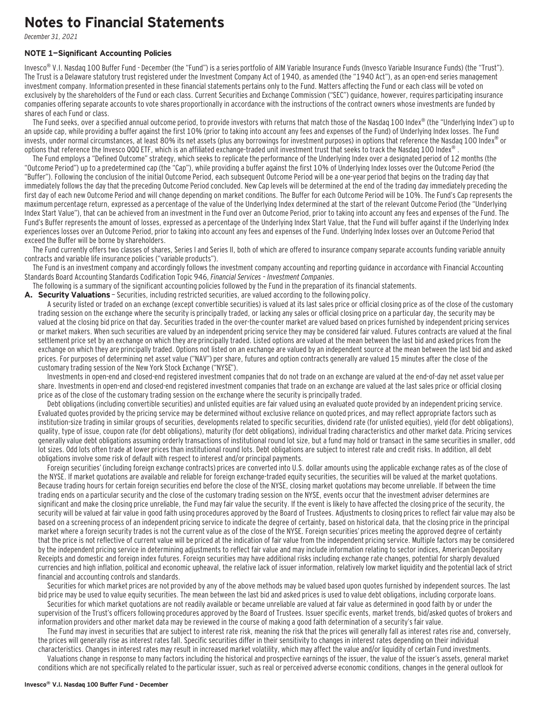### **Notes to Financial Statements**

December 31, 2021

#### **NOTE 1—Significant Accounting Policies**

Invesco<sup>®</sup> V.I. Nasdaq 100 Buffer Fund - December (the "Fund") is a series portfolio of AIM Variable Insurance Funds (Invesco Variable Insurance Funds) (the "Trust"). The Trust is a Delaware statutory trust registered under the Investment Company Act of 1940, as amended (the "1940 Act"), as an open-end series management investment company. Information presented in these financial statements pertains only to the Fund. Matters affecting the Fund or each class will be voted on exclusively by the shareholders of the Fund or each class. Current Securities and Exchange Commission ("SEC") guidance, however, requires participating insurance companies offering separate accounts to vote shares proportionally in accordance with the instructions of the contract owners whose investments are funded by shares of each Fund or class.

The Fund seeks, over a specified annual outcome period, to provide investors with returns that match those of the Nasdaq 100 Index® (the "Underlying Index") up to an upside cap, while providing a buffer against the first 10% (prior to taking into account any fees and expenses of the Fund) of Underlying Index losses. The Fund invests, under normal circumstances, at least 80% its net assets (plus any borrowings for investment purposes) in options that reference the Nasdaq 100 Index<sup>®</sup> or options that reference the Invesco QQQ ETF, which is an affiliated exchange-traded unit investment trust that seeks to track the Nasdaq 100 Index®

The Fund employs a "Defined Outcome" strategy, which seeks to replicate the performance of the Underlying Index over a designated period of 12 months (the "Outcome Period") up to a predetermined cap (the "Cap"), while providing a buffer against the first 10% of Underlying Index losses over the Outcome Period (the "Buffer"). Following the conclusion of the initial Outcome Period, each subsequent Outcome Period will be a one-year period that begins on the trading day that immediately follows the day that the preceding Outcome Period concluded. New Cap levels will be determined at the end of the trading day immediately preceding the first day of each new Outcome Period and will change depending on market conditions. The Buffer for each Outcome Period will be 10%. The Fund's Cap represents the maximum percentage return, expressed as a percentage of the value of the Underlying Index determined at the start of the relevant Outcome Period (the "Underlying Index Start Value"), that can be achieved from an investment in the Fund over an Outcome Period, prior to taking into account any fees and expenses of the Fund. The Fund's Buffer represents the amount of losses, expressed as a percentage of the Underlying Index Start Value, that the Fund will buffer against if the Underlying Index experiences losses over an Outcome Period, prior to taking into account any fees and expenses of the Fund. Underlying Index losses over an Outcome Period that exceed the Buffer will be borne by shareholders.

The Fund currently offers two classes of shares, Series I and Series II, both of which are offered to insurance company separate accounts funding variable annuity contracts and variable life insurance policies ("variable products").

The Fund is an investment company and accordingly follows the investment company accounting and reporting guidance in accordance with Financial Accounting Standards Board Accounting Standards Codification Topic 946, Financial Services – Investment Companies.

The following is a summary of the significant accounting policies followed by the Fund in the preparation of its financial statements.

A. Security Valuations - Securities, including restricted securities, are valued according to the following policy.

A security listed or traded on an exchange (except convertible securities) is valued at its last sales price or official closing price as of the close of the customary trading session on the exchange where the security is principally traded, or lacking any sales or official closing price on a particular day, the security may be valued at the closing bid price on that day. Securities traded in the over-the-counter market are valued based on prices furnished by independent pricing services or market makers. When such securities are valued by an independent pricing service they may be considered fair valued. Futures contracts are valued at the final settlement price set by an exchange on which they are principally traded. Listed options are valued at the mean between the last bid and asked prices from the exchange on which they are principally traded. Options not listed on an exchange are valued by an independent source at the mean between the last bid and asked prices. For purposes of determining net asset value ("NAV") per share, futures and option contracts generally are valued 15 minutes after the close of the customary trading session of the New York Stock Exchange ("NYSE").

Investments in open-end and closed-end registered investment companies that do not trade on an exchange are valued at the end-of-day net asset value per share. Investments in open-end and closed-end registered investment companies that trade on an exchange are valued at the last sales price or official closing price as of the close of the customary trading session on the exchange where the security is principally traded.

Debt obligations (including convertible securities) and unlisted equities are fair valued using an evaluated quote provided by an independent pricing service. Evaluated quotes provided by the pricing service may be determined without exclusive reliance on quoted prices, and may reflect appropriate factors such as institution-size trading in similar groups of securities, developments related to specific securities, dividend rate (for unlisted equities), yield (for debt obligations), quality, type of issue, coupon rate (for debt obligations), maturity (for debt obligations), individual trading characteristics and other market data. Pricing services generally value debt obligations assuming orderly transactions of institutional round lot size, but a fund may hold or transact in the same securities in smaller, odd lot sizes. Odd lots often trade at lower prices than institutional round lots. Debt obligations are subject to interest rate and credit risks. In addition, all debt obligations involve some risk of default with respect to interest and/or principal payments.

Foreign securities' (including foreign exchange contracts) prices are converted into U.S. dollar amounts using the applicable exchange rates as of the close of the NYSE. If market quotations are available and reliable for foreign exchange-traded equity securities, the securities will be valued at the market quotations. Because trading hours for certain foreign securities end before the close of the NYSE, closing market quotations may become unreliable. If between the time trading ends on a particular security and the close of the customary trading session on the NYSE, events occur that the investment adviser determines are significant and make the closing price unreliable, the Fund may fair value the security. If the event is likely to have affected the closing price of the security, the security will be valued at fair value in good faith using procedures approved by the Board of Trustees. Adjustments to closing prices to reflect fair value may also be based on a screening process of an independent pricing service to indicate the degree of certainty, based on historical data, that the closing price in the principal market where a foreign security trades is not the current value as of the close of the NYSE. Foreign securities' prices meeting the approved degree of certainty that the price is not reflective of current value will be priced at the indication of fair value from the independent pricing service. Multiple factors may be considered by the independent pricing service in determining adjustments to reflect fair value and may include information relating to sector indices, American Depositary Receipts and domestic and foreign index futures. Foreign securities may have additional risks including exchange rate changes, potential for sharply devalued currencies and high inflation, political and economic upheaval, the relative lack of issuer information, relatively low market liquidity and the potential lack of strict financial and accounting controls and standards.

Securities for which market prices are not provided by any of the above methods may be valued based upon quotes furnished by independent sources. The last bid price may be used to value equity securities. The mean between the last bid and asked prices is used to value debt obligations, including corporate loans.

Securities for which market quotations are not readily available or became unreliable are valued at fair value as determined in good faith by or under the supervision of the Trust's officers following procedures approved by the Board of Trustees. Issuer specific events, market trends, bid/asked quotes of brokers and information providers and other market data may be reviewed in the course of making a good faith determination of a security's fair value.

The Fund may invest in securities that are subject to interest rate risk, meaning the risk that the prices will generally fall as interest rates rise and, conversely, the prices will generally rise as interest rates fall. Specific securities differ in their sensitivity to changes in interest rates depending on their individual characteristics. Changes in interest rates may result in increased market volatility, which may affect the value and/or liquidity of certain Fund investments.

Valuations change in response to many factors including the historical and prospective earnings of the issuer, the value of the issuer's assets, general market conditions which are not specifically related to the particular issuer, such as real or perceived adverse economic conditions, changes in the general outlook for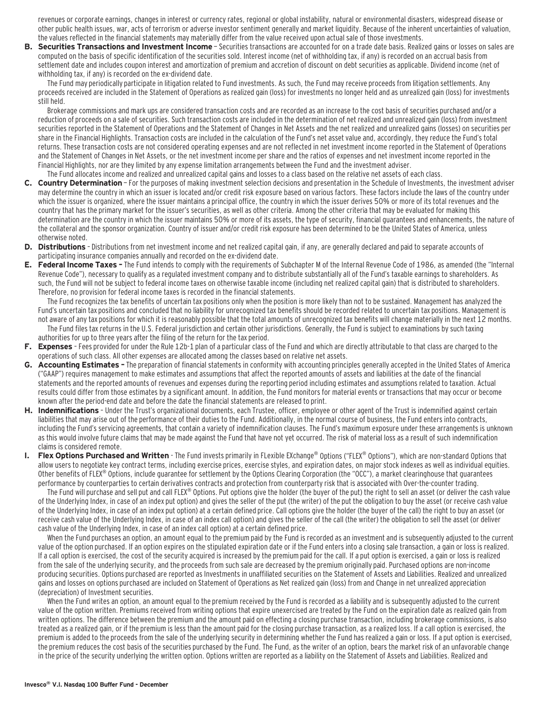revenues or corporate earnings, changes in interest or currency rates, regional or global instability, natural or environmental disasters, widespread disease or other public health issues, war, acts of terrorism or adverse investor sentiment generally and market liquidity. Because of the inherent uncertainties of valuation, the values reflected in the financial statements may materially differ from the value received upon actual sale of those investments.

**B. Securities Transactions and Investment Income** - Securities transactions are accounted for on a trade date basis. Realized gains or losses on sales are computed on the basis of specific identification of the securities sold. Interest income (net of withholding tax, if any) is recorded on an accrual basis from settlement date and includes coupon interest and amortization of premium and accretion of discount on debt securities as applicable. Dividend income (net of withholding tax, if any) is recorded on the ex-dividend date.

The Fund may periodically participate in litigation related to Fund investments. As such, the Fund may receive proceeds from litigation settlements. Any proceeds received are included in the Statement of Operations as realized gain (loss) for investments no longer held and as unrealized gain (loss) for investments still held.

Brokerage commissions and mark ups are considered transaction costs and are recorded as an increase to the cost basis of securities purchased and/or a reduction of proceeds on a sale of securities. Such transaction costs are included in the determination of net realized and unrealized gain (loss) from investment securities reported in the Statement of Operations and the Statement of Changes in Net Assets and the net realized and unrealized gains (losses) on securities per share in the Financial Highlights. Transaction costs are included in the calculation of the Fund's net asset value and, accordingly, they reduce the Fund's total returns. These transaction costs are not considered operating expenses and are not reflected in net investment income reported in the Statement of Operations and the Statement of Changes in Net Assets, or the net investment income per share and the ratios of expenses and net investment income reported in the Financial Highlights, nor are they limited by any expense limitation arrangements between the Fund and the investment adviser.

#### The Fund allocates income and realized and unrealized capital gains and losses to a class based on the relative net assets of each class.

- **C. Country Determination**  For the purposes of making investment selection decisions and presentation in the Schedule of Investments, the investment adviser may determine the country in which an issuer is located and/or credit risk exposure based on various factors. These factors include the laws of the country under which the issuer is organized, where the issuer maintains a principal office, the country in which the issuer derives 50% or more of its total revenues and the country that has the primary market for the issuer's securities, as well as other criteria. Among the other criteria that may be evaluated for making this determination are the country in which the issuer maintains 50% or more of its assets, the type of security, financial guarantees and enhancements, the nature of the collateral and the sponsor organization. Country of issuer and/or credit risk exposure has been determined to be the United States of America, unless otherwise noted.
- **D. Distributions**  Distributions from net investment income and net realized capital gain, if any, are generally declared and paid to separate accounts of participating insurance companies annually and recorded on the ex-dividend date.
- **E. Federal Income Taxes** The Fund intends to comply with the requirements of Subchapter M of the Internal Revenue Code of 1986, as amended (the "Internal Revenue Code"), necessary to qualify as a regulated investment company and to distribute substantially all of the Fund's taxable earnings to shareholders. As such, the Fund will not be subject to federal income taxes on otherwise taxable income (including net realized capital gain) that is distributed to shareholders. Therefore, no provision for federal income taxes is recorded in the financial statements.

The Fund recognizes the tax benefits of uncertain tax positions only when the position is more likely than not to be sustained. Management has analyzed the Fund's uncertain tax positions and concluded that no liability for unrecognized tax benefits should be recorded related to uncertain tax positions. Management is not aware of any tax positions for which it is reasonably possible that the total amounts of unrecognized tax benefits will change materially in the next 12 months. The Fund files tax returns in the U.S. Federal jurisdiction and certain other jurisdictions. Generally, the Fund is subject to examinations by such taxing authorities for up to three years after the filing of the return for the tax period.

- **F. Expenses**  Fees provided for under the Rule 12b-1 plan of a particular class of the Fund and which are directly attributable to that class are charged to the operations of such class. All other expenses are allocated among the classes based on relative net assets.
- **G. Accounting Estimates** The preparation of financial statements in conformity with accounting principles generally accepted in the United States of America ("GAAP") requires management to make estimates and assumptions that affect the reported amounts of assets and liabilities at the date of the financial statements and the reported amounts of revenues and expenses during the reporting period including estimates and assumptions related to taxation. Actual results could differ from those estimates by a significant amount. In addition, the Fund monitors for material events or transactions that may occur or become known after the period-end date and before the date the financial statements are released to print.
- **H. Indemnifications**  Under the Trust's organizational documents, each Trustee, officer, employee or other agent of the Trust is indemnified against certain liabilities that may arise out of the performance of their duties to the Fund. Additionally, in the normal course of business, the Fund enters into contracts, including the Fund's servicing agreements, that contain a variety of indemnification clauses. The Fund's maximum exposure under these arrangements is unknown as this would involve future claims that may be made against the Fund that have not yet occurred. The risk of material loss as a result of such indemnification claims is considered remote.
- **I. Flex Options Purchased and Written**  The Fund invests primarily in FLexible EXchange® Options ("FLEX® Options"), which are non-standard Options that allow users to negotiate key contract terms, including exercise prices, exercise styles, and expiration dates, on major stock indexes as well as individual equities. Other benefits of FLEX® Options, include guarantee for settlement by the Options Clearing Corporation (the "OCC"), a market clearinghouse that guarantees performance by counterparties to certain derivatives contracts and protection from counterparty risk that is associated with Over-the-counter trading.

The Fund will purchase and sell put and call FLEX® Options. Put options give the holder (the buyer of the put) the right to sell an asset (or deliver the cash value of the Underlying Index, in case of an index put option) and gives the seller of the put (the writer) of the put the obligation to buy the asset (or receive cash value of the Underlying Index, in case of an index put option) at a certain defined price. Call options give the holder (the buyer of the call) the right to buy an asset (or receive cash value of the Underlying Index, in case of an index call option) and gives the seller of the call (the writer) the obligation to sell the asset (or deliver cash value of the Underlying Index, in case of an index call option) at a certain defined price.

When the Fund purchases an option, an amount equal to the premium paid by the Fund is recorded as an investment and is subsequently adjusted to the current value of the option purchased. If an option expires on the stipulated expiration date or if the Fund enters into a closing sale transaction, a gain or loss is realized. If a call option is exercised, the cost of the security acquired is increased by the premium paid for the call. If a put option is exercised, a gain or loss is realized from the sale of the underlying security, and the proceeds from such sale are decreased by the premium originally paid. Purchased options are non-income producing securities. Options purchased are reported as Investments in unaffiliated securities on the Statement of Assets and Liabilities. Realized and unrealized gains and losses on options purchased are included on Statement of Operations as Net realized gain (loss) from and Change in net unrealized appreciation (depreciation) of Investment securities.

When the Fund writes an option, an amount equal to the premium received by the Fund is recorded as a liability and is subsequently adjusted to the current value of the option written. Premiums received from writing options that expire unexercised are treated by the Fund on the expiration date as realized gain from written options. The difference between the premium and the amount paid on effecting a closing purchase transaction, including brokerage commissions, is also treated as a realized gain, or if the premium is less than the amount paid for the closing purchase transaction, as a realized loss. If a call option is exercised, the premium is added to the proceeds from the sale of the underlying security in determining whether the Fund has realized a gain or loss. If a put option is exercised, the premium reduces the cost basis of the securities purchased by the Fund. The Fund, as the writer of an option, bears the market risk of an unfavorable change in the price of the security underlying the written option. Options written are reported as a liability on the Statement of Assets and Liabilities. Realized and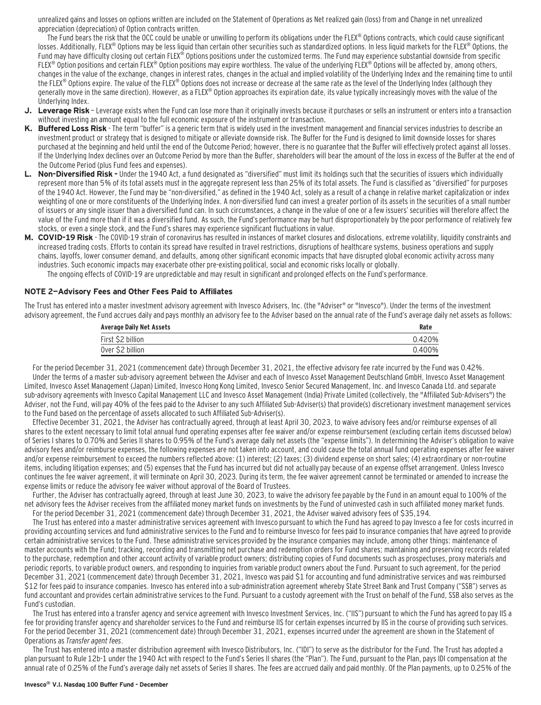unrealized gains and losses on options written are included on the Statement of Operations as Net realized gain (loss) from and Change in net unrealized appreciation (depreciation) of Option contracts written.

The Fund bears the risk that the OCC could be unable or unwilling to perform its obligations under the FLEX® Options contracts, which could cause significant losses. Additionally, FLEX® Options may be less liquid than certain other securities such as standardized options. In less liquid markets for the FLEX® Options, the Fund may have difficulty closing out certain FLEX® Options positions under the customized terms. The Fund may experience substantial downside from specific FLEX<sup>®</sup> Option positions and certain FLEX<sup>®</sup> Option positions may expire worthless. The value of the underlying FLEX<sup>®</sup> Options will be affected by, among others, changes in the value of the exchange, changes in interest rates, changes in the actual and implied volatility of the Underlying Index and the remaining time to until the FLEX® Options expire. The value of the FLEX® Options does not increase or decrease at the same rate as the level of the Underlying Index (although they generally move in the same direction). However, as a FLEX® Option approaches its expiration date, its value typically increasingly moves with the value of the Underlying Index.

- **J. Leverage Risk**  Leverage exists when the Fund can lose more than it originally invests because it purchases or sells an instrument or enters into a transaction without investing an amount equal to the full economic exposure of the instrument or transaction.
- **K. Buffered Loss Risk**  The term "buffer" is a generic term that is widely used in the investment management and financial services industries to describe an investment product or strategy that is designed to mitigate or alleviate downside risk. The Buffer for the Fund is designed to limit downside losses for shares purchased at the beginning and held until the end of the Outcome Period; however, there is no guarantee that the Buffer will effectively protect against all losses. If the Underlying Index declines over an Outcome Period by more than the Buffer, shareholders will bear the amount of the loss in excess of the Buffer at the end of the Outcome Period (plus Fund fees and expenses).
- **L. Non-Diversified Risk** Under the 1940 Act, a fund designated as "diversified" must limit its holdings such that the securities of issuers which individually represent more than 5% of its total assets must in the aggregate represent less than 25% of its total assets. The Fund is classified as "diversified" for purposes of the 1940 Act. However, the Fund may be "non-diversified," as defined in the 1940 Act, solely as a result of a change in relative market capitalization or index weighting of one or more constituents of the Underlying Index. A non-diversified fund can invest a greater portion of its assets in the securities of a small number of issuers or any single issuer than a diversified fund can. In such circumstances, a change in the value of one or a few issuers' securities will therefore affect the value of the Fund more than if it was a diversified fund. As such, the Fund's performance may be hurt disproportionately by the poor performance of relatively few stocks, or even a single stock, and the Fund's shares may experience significant fluctuations in value.
- **M. COVID-19 Risk**  The COVID-19 strain of coronavirus has resulted in instances of market closures and dislocations, extreme volatility, liquidity constraints and increased trading costs. Efforts to contain its spread have resulted in travel restrictions, disruptions of healthcare systems, business operations and supply chains, layoffs, lower consumer demand, and defaults, among other significant economic impacts that have disrupted global economic activity across many industries. Such economic impacts may exacerbate other pre-existing political, social and economic risks locally or globally.

### The ongoing effects of COVID-19 are unpredictable and may result in significant and prolonged effects on the Fund's performance.

#### **NOTE 2—Advisory Fees and Other Fees Paid to Affiliates**

The Trust has entered into a master investment advisory agreement with Invesco Advisers, Inc. (the "Adviser" or "Invesco"). Under the terms of the investment advisory agreement, the Fund accrues daily and pays monthly an advisory fee to the Adviser based on the annual rate of the Fund's average daily net assets as follows:

| <b>Average Daily Net Assets</b> |        |
|---------------------------------|--------|
| First \$2 billion               | 0.420% |
| Over \$2 billion                | 0.400% |

For the period December 31, 2021 (commencement date) through December 31, 2021, the effective advisory fee rate incurred by the Fund was 0.42%. Under the terms of a master sub-advisory agreement between the Adviser and each of Invesco Asset Management Deutschland GmbH, Invesco Asset Management Limited, Invesco Asset Management (Japan) Limited, Invesco Hong Kong Limited, Invesco Senior Secured Management, Inc. and Invesco Canada Ltd. and separate sub-advisory agreements with Invesco Capital Management LLC and Invesco Asset Management (India) Private Limited (collectively, the "Affiliated Sub-Advisers") the Adviser, not the Fund, will pay 40% of the fees paid to the Adviser to any such Affiliated Sub-Adviser(s) that provide(s) discretionary investment management services to the Fund based on the percentage of assets allocated to such Affiliated Sub-Adviser(s).

Effective December 31, 2021, the Adviser has contractually agreed, through at least April 30, 2023, to waive advisory fees and/or reimburse expenses of all shares to the extent necessary to limit total annual fund operating expenses after fee waiver and/or expense reimbursement (excluding certain items discussed below) of Series I shares to 0.70% and Series II shares to 0.95% of the Fund's average daily net assets (the "expense limits"). In determining the Adviser's obligation to waive advisory fees and/or reimburse expenses, the following expenses are not taken into account, and could cause the total annual fund operating expenses after fee waiver and/or expense reimbursement to exceed the numbers reflected above: (1) interest; (2) taxes; (3) dividend expense on short sales; (4) extraordinary or non-routine items, including litigation expenses; and (5) expenses that the Fund has incurred but did not actually pay because of an expense offset arrangement. Unless Invesco continues the fee waiver agreement, it will terminate on April 30, 2023. During its term, the fee waiver agreement cannot be terminated or amended to increase the expense limits or reduce the advisory fee waiver without approval of the Board of Trustees.

Further, the Adviser has contractually agreed, through at least June 30, 2023, to waive the advisory fee payable by the Fund in an amount equal to 100% of the net advisory fees the Adviser receives from the affiliated money market funds on investments by the Fund of uninvested cash in such affiliated money market funds. For the period December 31, 2021 (commencement date) through December 31, 2021, the Adviser waived advisory fees of \$35,194.

The Trust has entered into a master administrative services agreement with Invesco pursuant to which the Fund has agreed to pay Invesco a fee for costs incurred in providing accounting services and fund administrative services to the Fund and to reimburse Invesco for fees paid to insurance companies that have agreed to provide certain administrative services to the Fund. These administrative services provided by the insurance companies may include, among other things: maintenance of master accounts with the Fund; tracking, recording and transmitting net purchase and redemption orders for Fund shares; maintaining and preserving records related to the purchase, redemption and other account activity of variable product owners; distributing copies of Fund documents such as prospectuses, proxy materials and periodic reports, to variable product owners, and responding to inquiries from variable product owners about the Fund. Pursuant to such agreement, for the period December 31, 2021 (commencement date) through December 31, 2021, Invesco was paid \$1 for accounting and fund administrative services and was reimbursed \$12 for fees paid to insurance companies. Invesco has entered into a sub-administration agreement whereby State Street Bank and Trust Company ("SSB") serves as fund accountant and provides certain administrative services to the Fund. Pursuant to a custody agreement with the Trust on behalf of the Fund, SSB also serves as the Fund's custodian.

The Trust has entered into a transfer agency and service agreement with Invesco Investment Services, Inc. ("IIS") pursuant to which the Fund has agreed to pay IIS a fee for providing transfer agency and shareholder services to the Fund and reimburse IIS for certain expenses incurred by IIS in the course of providing such services. For the period December 31, 2021 (commencement date) through December 31, 2021, expenses incurred under the agreement are shown in the Statement of Operations as Transfer agent fees.

The Trust has entered into a master distribution agreement with Invesco Distributors, Inc. ("IDI") to serve as the distributor for the Fund. The Trust has adopted a plan pursuant to Rule 12b-1 under the 1940 Act with respect to the Fund's Series II shares (the "Plan"). The Fund, pursuant to the Plan, pays IDI compensation at the annual rate of 0.25% of the Fund's average daily net assets of Series II shares. The fees are accrued daily and paid monthly. Of the Plan payments, up to 0.25% of the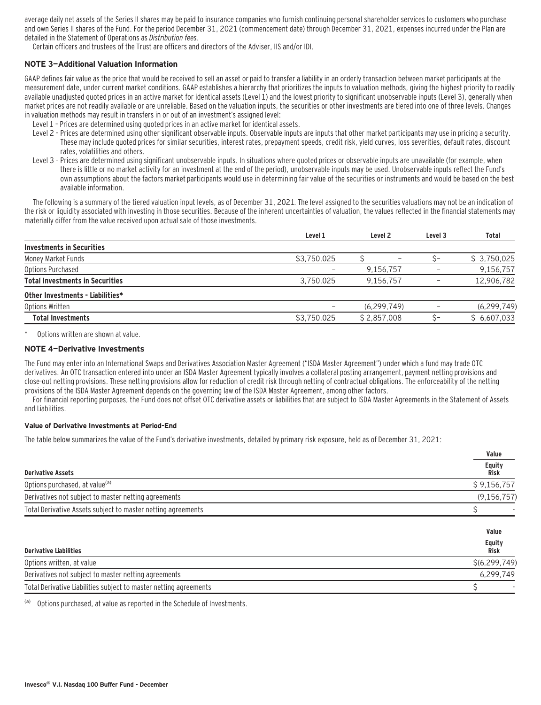average daily net assets of the Series II shares may be paid to insurance companies who furnish continuing personal shareholder services to customers who purchase and own Series II shares of the Fund. For the period December 31, 2021 (commencement date) through December 31, 2021, expenses incurred under the Plan are detailed in the Statement of Operations as Distribution fees.

Certain officers and trustees of the Trust are officers and directors of the Adviser, IIS and/or IDI.

#### **NOTE 3—Additional Valuation Information**

GAAP defines fair value as the price that would be received to sell an asset or paid to transfer a liability in an orderly transaction between market participants at the measurement date, under current market conditions. GAAP establishes a hierarchy that prioritizes the inputs to valuation methods, giving the highest priority to readily available unadjusted quoted prices in an active market for identical assets (Level 1) and the lowest priority to significant unobservable inputs (Level 3), generally when market prices are not readily available or are unreliable. Based on the valuation inputs, the securities or other investments are tiered into one of three levels. Changes in valuation methods may result in transfers in or out of an investment's assigned level:

- Level 1 Prices are determined using quoted prices in an active market for identical assets.
- Level 2 Prices are determined using other significant observable inputs. Observable inputs that other market participants may use in pricing a security. These may include quoted prices for similar securities, interest rates, prepayment speeds, credit risk, yield curves, loss severities, default rates, discount rates, volatilities and others.
- Level 3 Prices are determined using significant unobservable inputs. In situations where quoted prices or observable inputs are unavailable (for example, when there is little or no market activity for an investment at the end of the period), unobservable inputs may be used. Unobservable inputs reflect the Fund's own assumptions about the factors market participants would use in determining fair value of the securities or instruments and would be based on the best available information.

The following is a summary of the tiered valuation input levels, as of December 31, 2021. The level assigned to the securities valuations may not be an indication of the risk or liquidity associated with investing in those securities. Because of the inherent uncertainties of valuation, the values reflected in the financial statements may materially differ from the value received upon actual sale of those investments.

|                                        | Level 1     | Level <sub>2</sub> | Level <sub>3</sub> | Total         |
|----------------------------------------|-------------|--------------------|--------------------|---------------|
| <b>Investments in Securities</b>       |             |                    |                    |               |
| Money Market Funds                     | \$3,750,025 |                    |                    | \$3,750,025   |
| Options Purchased                      |             | 9,156,757          |                    | 9,156,757     |
| <b>Total Investments in Securities</b> | 3,750,025   | 9,156,757          |                    | 12,906,782    |
| Other Investments - Liabilities*       |             |                    |                    |               |
| Options Written                        |             | (6, 299, 749)      |                    | (6, 299, 749) |
| <b>Total Investments</b>               | \$3,750,025 | \$2,857,008        |                    | \$6,607,033   |
|                                        |             |                    |                    |               |

Options written are shown at value.

#### **NOTE 4—Derivative Investments**

The Fund may enter into an International Swaps and Derivatives Association Master Agreement ("ISDA Master Agreement") under which a fund may trade OTC derivatives. An OTC transaction entered into under an ISDA Master Agreement typically involves a collateral posting arrangement, payment netting provisions and close-out netting provisions. These netting provisions allow for reduction of credit risk through netting of contractual obligations. The enforceability of the netting provisions of the ISDA Master Agreement depends on the governing law of the ISDA Master Agreement, among other factors.

For financial reporting purposes, the Fund does not offset OTC derivative assets or liabilities that are subject to ISDA Master Agreements in the Statement of Assets and Liabilities.

#### **Value of Derivative Investments at Period-End**

The table below summarizes the value of the Fund's derivative investments, detailed by primary risk exposure, held as of December 31, 2021:

|                                                                   | Value                 |
|-------------------------------------------------------------------|-----------------------|
| <b>Derivative Assets</b>                                          | <b>Equity</b><br>Risk |
| Options purchased, at value <sup>(a)</sup>                        | \$9,156,757           |
| Derivatives not subject to master netting agreements              | (9, 156, 757)         |
| Total Derivative Assets subject to master netting agreements      |                       |
|                                                                   | Value                 |
| <b>Derivative Liabilities</b>                                     | Equity<br><b>Risk</b> |
| Options written, at value                                         | \$(6, 299, 749)       |
| Derivatives not subject to master netting agreements              | 6,299,749             |
| Total Derivative Liabilities subject to master netting agreements |                       |

(a) Options purchased, at value as reported in the Schedule of Investments.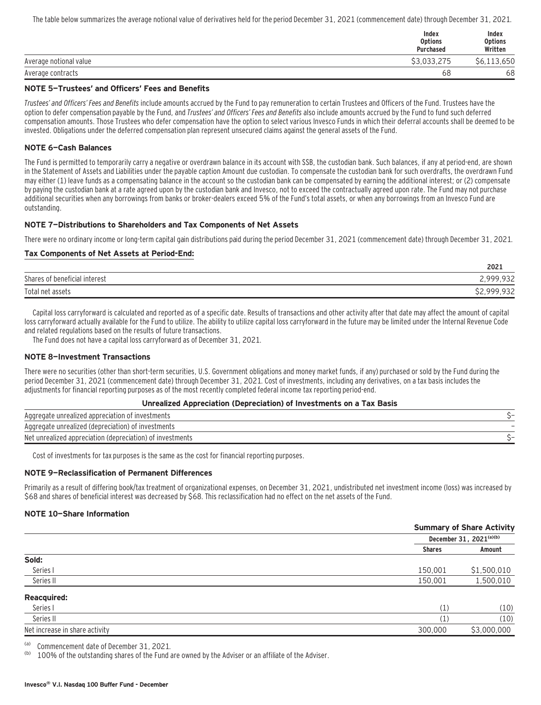The table below summarizes the average notional value of derivatives held for the period December 31, 2021 (commencement date) through December 31, 2021.

|                        | Index<br><b>Options</b><br><b>Purchased</b> | Index<br><b>Options</b><br>Written |
|------------------------|---------------------------------------------|------------------------------------|
| Average notional value | \$3,033,275                                 | \$6,113,650                        |
| Average contracts      | 68                                          | 68                                 |

#### **NOTE 5—Trustees' and Officers' Fees and Benefits**

Trustees' and Officers' Fees and Benefits include amounts accrued by the Fund to pay remuneration to certain Trustees and Officers of the Fund. Trustees have the option to defer compensation payable by the Fund, and Trustees' and Officers' Fees and Benefits also include amounts accrued by the Fund to fund such deferred compensation amounts. Those Trustees who defer compensation have the option to select various Invesco Funds in which their deferral accounts shall be deemed to be invested. Obligations under the deferred compensation plan represent unsecured claims against the general assets of the Fund.

#### **NOTE 6—Cash Balances**

The Fund is permitted to temporarily carry a negative or overdrawn balance in its account with SSB, the custodian bank. Such balances, if any at period-end, are shown in the Statement of Assets and Liabilities under the payable caption Amount due custodian. To compensate the custodian bank for such overdrafts, the overdrawn Fund may either (1) leave funds as a compensating balance in the account so the custodian bank can be compensated by earning the additional interest; or (2) compensate by paying the custodian bank at a rate agreed upon by the custodian bank and Invesco, not to exceed the contractually agreed upon rate. The Fund may not purchase additional securities when any borrowings from banks or broker-dealers exceed 5% of the Fund's total assets, or when any borrowings from an Invesco Fund are outstanding.

#### **NOTE 7—Distributions to Shareholders and Tax Components of Net Assets**

There were no ordinary income or long-term capital gain distributions paid during the period December 31, 2021 (commencement date) through December 31, 2021.

#### **Tax Components of Net Assets at Period-End:**

|                                    | 2021              |
|------------------------------------|-------------------|
| Shares of<br>f beneficial interest | 000022<br>フコム     |
| Total net assets                   | ררח חחח כל<br>フコム |

Capital loss carryforward is calculated and reported as of a specific date. Results of transactions and other activity after that date may affect the amount of capital loss carryforward actually available for the Fund to utilize. The ability to utilize capital loss carryforward in the future may be limited under the Internal Revenue Code and related regulations based on the results of future transactions.

The Fund does not have a capital loss carryforward as of December 31, 2021.

#### **NOTE 8—Investment Transactions**

There were no securities (other than short-term securities, U.S. Government obligations and money market funds, if any) purchased or sold by the Fund during the period December 31, 2021 (commencement date) through December 31, 2021. Cost of investments, including any derivatives, on a tax basis includes the adjustments for financial reporting purposes as of the most recently completed federal income tax reporting period-end.

#### **Unrealized Appreciation (Depreciation) of Investments on a Tax Basis**

| Aggregate unrealized appreciation of investments               |  |
|----------------------------------------------------------------|--|
| of investments (<br>egate unrealized (depreciation).<br>Aggred |  |
| Net unrealized appreciation (depreciation)<br>) of investments |  |

Cost of investments for tax purposes is the same as the cost for financial reporting purposes.

#### **NOTE 9—Reclassification of Permanent Differences**

Primarily as a result of differing book/tax treatment of organizational expenses, on December 31, 2021, undistributed net investment income (loss) was increased by \$68 and shares of beneficial interest was decreased by \$68. This reclassification had no effect on the net assets of the Fund.

#### **NOTE 10—Share Information**

|                                |               | <b>Summary of Share Activity</b> |
|--------------------------------|---------------|----------------------------------|
|                                |               | December 31, 2021(a)(b)          |
|                                | <b>Shares</b> | Amount                           |
| Sold:                          |               |                                  |
| Series I                       | 150,001       | \$1,500,010                      |
| Series II                      | 150,001       | 1,500,010                        |
| <b>Reacquired:</b>             |               |                                  |
| Series I                       | (1)           | (10)                             |
| Series II                      | (1)           | (10)                             |
| Net increase in share activity | 300,000       | \$3,000,000                      |
|                                |               |                                  |

(a) Commencement date of December 31, 2021.

100% of the outstanding shares of the Fund are owned by the Adviser or an affiliate of the Adviser.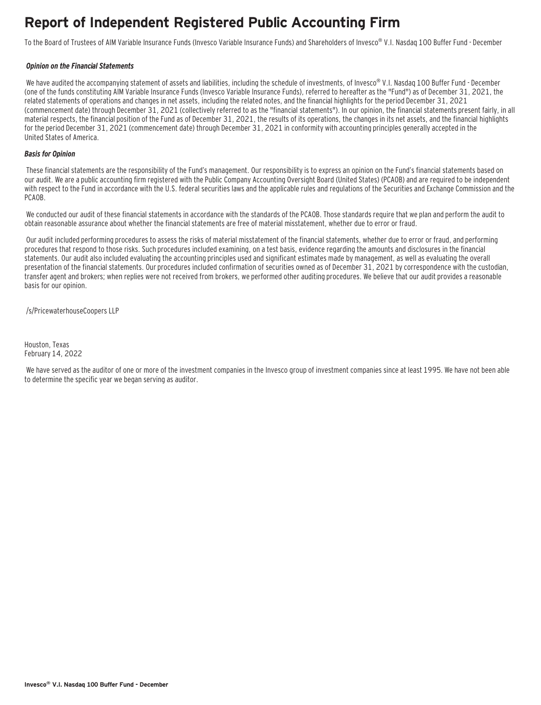### **Report of Independent Registered Public Accounting Firm**

To the Board of Trustees of AIM Variable Insurance Funds (Invesco Variable Insurance Funds) and Shareholders of Invesco® V.I. Nasdaq 100 Buffer Fund - December

#### **Opinion on the Financial Statements**

We have audited the accompanying statement of assets and liabilities, including the schedule of investments, of Invesco® V.I. Nasdag 100 Buffer Fund - December (one of the funds constituting AIM Variable Insurance Funds (Invesco Variable Insurance Funds), referred to hereafter as the "Fund") as of December 31, 2021, the related statements of operations and changes in net assets, including the related notes, and the financial highlights for the period December 31, 2021 (commencement date) through December 31, 2021 (collectively referred to as the "financial statements"). In our opinion, the financial statements present fairly, in all material respects, the financial position of the Fund as of December 31, 2021, the results of its operations, the changes in its net assets, and the financial highlights for the period December 31, 2021 (commencement date) through December 31, 2021 in conformity with accounting principles generally accepted in the United States of America.

#### **Basis for Opinion**

These financial statements are the responsibility of the Fund's management. Our responsibility is to express an opinion on the Fund's financial statements based on our audit. We are a public accounting firm registered with the Public Company Accounting Oversight Board (United States) (PCAOB) and are required to be independent with respect to the Fund in accordance with the U.S. federal securities laws and the applicable rules and regulations of the Securities and Exchange Commission and the PCAOB.

 We conducted our audit of these financial statements in accordance with the standards of the PCAOB. Those standards require that we plan and perform the audit to obtain reasonable assurance about whether the financial statements are free of material misstatement, whether due to error or fraud.

 Our audit included performing procedures to assess the risks of material misstatement of the financial statements, whether due to error or fraud, and performing procedures that respond to those risks. Such procedures included examining, on a test basis, evidence regarding the amounts and disclosures in the financial statements. Our audit also included evaluating the accounting principles used and significant estimates made by management, as well as evaluating the overall presentation of the financial statements. Our procedures included confirmation of securities owned as of December 31, 2021 by correspondence with the custodian, transfer agent and brokers; when replies were not received from brokers, we performed other auditing procedures. We believe that our audit provides a reasonable basis for our opinion.

/s/PricewaterhouseCoopers LLP

Houston, Texas February 14, 2022

 We have served as the auditor of one or more of the investment companies in the Invesco group of investment companies since at least 1995. We have not been able to determine the specific year we began serving as auditor.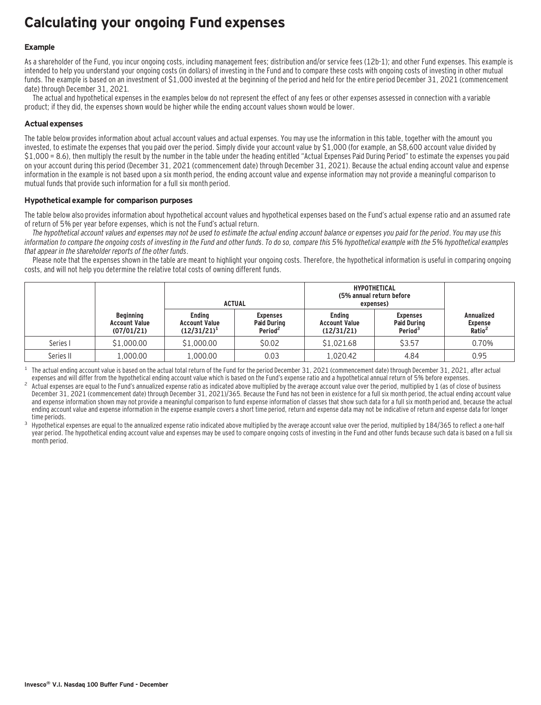### **Calculating your ongoing Fund expenses**

#### **Example**

As a shareholder of the Fund, you incur ongoing costs, including management fees; distribution and/or service fees (12b-1); and other Fund expenses. This example is intended to help you understand your ongoing costs (in dollars) of investing in the Fund and to compare these costs with ongoing costs of investing in other mutual funds. The example is based on an investment of \$1,000 invested at the beginning of the period and held for the entire period December 31, 2021 (commencement date) through December 31, 2021.

The actual and hypothetical expenses in the examples below do not represent the effect of any fees or other expenses assessed in connection with a variable product; if they did, the expenses shown would be higher while the ending account values shown would be lower.

#### **Actual expenses**

The table below provides information about actual account values and actual expenses. You may use the information in this table, together with the amount you invested, to estimate the expenses that you paid over the period. Simply divide your account value by \$1,000 (for example, an \$8,600 account value divided by \$1,000 = 8.6), then multiply the result by the number in the table under the heading entitled "Actual Expenses Paid During Period" to estimate the expenses you paid on your account during this period (December 31, 2021 (commencement date) through December 31, 2021). Because the actual ending account value and expense information in the example is not based upon a six month period, the ending account value and expense information may not provide a meaningful comparison to mutual funds that provide such information for a full six month period.

#### **Hypothetical example for comparison purposes**

The table below also provides information about hypothetical account values and hypothetical expenses based on the Fund's actual expense ratio and an assumed rate of return of 5% per year before expenses, which is not the Fund's actual return.

The hypothetical account values and expenses may not be used to estimate the actual ending account balance or expenses you paid for the period. You may use this information to compare the ongoing costs of investing in the Fund and other funds. To do so, compare this 5% hypothetical example with the 5% hypothetical examples that appear in the shareholder reports of the other funds.

Please note that the expenses shown in the table are meant to highlight your ongoing costs. Therefore, the hypothetical information is useful in comparing ongoing costs, and will not help you determine the relative total costs of owning different funds.

|           |                                                        | <b>ACTUAL</b>                                           |                                                              | <b>HYPOTHETICAL</b><br>(5% annual return before<br>expenses) |                                                              |                                                    |
|-----------|--------------------------------------------------------|---------------------------------------------------------|--------------------------------------------------------------|--------------------------------------------------------------|--------------------------------------------------------------|----------------------------------------------------|
|           | <b>Beginning</b><br><b>Account Value</b><br>(07/01/21) | <b>Endina</b><br><b>Account Value</b><br>$(12/31/21)^1$ | <b>Expenses</b><br><b>Paid During</b><br>Period <sup>2</sup> | <b>Endina</b><br><b>Account Value</b><br>(12/31/21)          | <b>Expenses</b><br><b>Paid During</b><br>Period <sup>3</sup> | <b>Annualized</b><br>Expense<br>Ratio <sup>2</sup> |
| Series I  | \$1,000.00                                             | \$1,000.00                                              | \$0.02                                                       | \$1,021.68                                                   | \$3.57                                                       | 0.70%                                              |
| Series II | 1,000.00                                               | 1.000.00                                                | 0.03                                                         | 1,020.42                                                     | 4.84                                                         | 0.95                                               |

The actual ending account value is based on the actual total return of the Fund for the period December 31, 2021 (commencement date) through December 31, 2021, after actual expenses and will differ from the hypothetical en

Actual expenses are equal to the Fund's annualized expense ratio as indicated above multiplied by the average account value over the period, multiplied by 1 (as of close of business December 31, 2021 (commencement date) through December 31, 2021)/365. Because the Fund has not been in existence for a full six month period, the actual ending account value and expense information shown may not provide a meaningful comparison to fund expense information of classes that show such data for a full six month period and, because the actual ending account value and expense information in the expense example covers a short time period, return and expense data may not be indicative of return and expense data for longer

time periods.<br>Hypothetical expenses are equal to the annualized expense ratio indicated above multiplied by the average account value over the period, multiplied by 184/365 to reflect a one-half year period. The hypothetical ending account value and expenses may be used to compare ongoing costs of investing in the Fund and other funds because such data is based on a full six month period.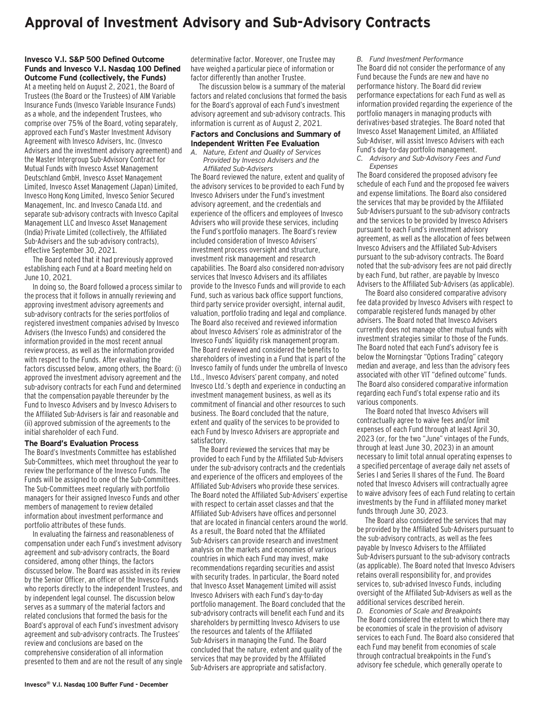### **Approval of Investment Advisory and Sub-Advisory Contracts**

#### **Invesco V.I. S&P 500 Defined Outcome Funds and Invesco V.I. Nasdaq 100 Defined Outcome Fund (collectively, the Funds)**

At a meeting held on August 2, 2021, the Board of Trustees (the Board or the Trustees) of AIM Variable Insurance Funds (Invesco Variable Insurance Funds) as a whole, and the independent Trustees, who comprise over 75% of the Board, voting separately, approved each Fund's Master Investment Advisory Agreement with Invesco Advisers, Inc. (Invesco Advisers and the investment advisory agreement) and the Master Intergroup Sub-Advisory Contract for Mutual Funds with Invesco Asset Management Deutschland GmbH, Invesco Asset Management Limited, Invesco Asset Management (Japan) Limited, Invesco Hong Kong Limited, Invesco Senior Secured Management, Inc. and Invesco Canada Ltd. and separate sub-advisory contracts with Invesco Capital Management LLC and Invesco Asset Management (India) Private Limited (collectively, the Affiliated Sub-Advisers and the sub-advisory contracts), effective September 30, 2021.

The Board noted that it had previously approved establishing each Fund at a Board meeting held on June 10, 2021.

In doing so, the Board followed a process similar to the process that it follows in annually reviewing and approving investment advisory agreements and sub-advisory contracts for the series portfolios of registered investment companies advised by Invesco Advisers (the Invesco Funds) and considered the information provided in the most recent annual review process, as well as the information provided with respect to the Funds. After evaluating the factors discussed below, among others, the Board: (i) approved the investment advisory agreement and the sub-advisory contracts for each Fund and determined that the compensation payable thereunder by the Fund to Invesco Advisers and by Invesco Advisers to the Affiliated Sub-Advisers is fair and reasonable and (ii) approved submission of the agreements to the initial shareholder of each Fund.

#### **The Board's Evaluation Process**

The Board's Investments Committee has established Sub-Committees, which meet throughout the year to review the performance of the Invesco Funds. The Funds will be assigned to one of the Sub-Committees. The Sub-Committees meet regularly with portfolio managers for their assigned Invesco Funds and other members of management to review detailed information about investment performance and portfolio attributes of these funds.

In evaluating the fairness and reasonableness of compensation under each Fund's investment advisory agreement and sub-advisory contracts, the Board considered, among other things, the factors discussed below. The Board was assisted in its review by the Senior Officer, an officer of the Invesco Funds who reports directly to the independent Trustees, and by independent legal counsel. The discussion below serves as a summary of the material factors and related conclusions that formed the basis for the Board's approval of each Fund's investment advisory agreement and sub-advisory contracts. The Trustees' review and conclusions are based on the comprehensive consideration of all information presented to them and are not the result of any single determinative factor. Moreover, one Trustee may have weighed a particular piece of information or factor differently than another Trustee.

The discussion below is a summary of the material factors and related conclusions that formed the basis for the Board's approval of each Fund's investment advisory agreement and sub-advisory contracts. This information is current as of August 2, 2021.

#### **Factors and Conclusions and Summary of Independent Written Fee Evaluation**

*A. Nature, Extent and Quality of Services Provided by Invesco Advisers and the Affiliated Sub-Advisers*

The Board reviewed the nature, extent and quality of the advisory services to be provided to each Fund by Invesco Advisers under the Fund's investment advisory agreement, and the credentials and experience of the officers and employees of Invesco Advisers who will provide these services, including the Fund's portfolio managers. The Board's review included consideration of Invesco Advisers' investment process oversight and structure, investment risk management and research capabilities. The Board also considered non-advisory services that Invesco Advisers and its affiliates provide to the Invesco Funds and will provide to each Fund, such as various back office support functions, third party service provider oversight, internal audit, valuation, portfolio trading and legal and compliance. The Board also received and reviewed information about Invesco Advisers' role as administrator of the Invesco Funds' liquidity risk management program. The Board reviewed and considered the benefits to shareholders of investing in a Fund that is part of the Invesco family of funds under the umbrella of Invesco Ltd., Invesco Advisers' parent company, and noted Invesco Ltd.'s depth and experience in conducting an investment management business, as well as its commitment of financial and other resources to such business. The Board concluded that the nature, extent and quality of the services to be provided to each Fund by Invesco Advisers are appropriate and satisfactory.

The Board reviewed the services that may be provided to each Fund by the Affiliated Sub-Advisers under the sub-advisory contracts and the credentials and experience of the officers and employees of the Affiliated Sub-Advisers who provide these services. The Board noted the Affiliated Sub-Advisers' expertise with respect to certain asset classes and that the Affiliated Sub-Advisers have offices and personnel that are located in financial centers around the world. As a result, the Board noted that the Affiliated Sub-Advisers can provide research and investment analysis on the markets and economies of various countries in which each Fund may invest, make recommendations regarding securities and assist with security trades. In particular, the Board noted that Invesco Asset Management Limited will assist Invesco Advisers with each Fund's day-to-day portfolio management. The Board concluded that the sub-advisory contracts will benefit each Fund and its shareholders by permitting Invesco Advisers to use the resources and talents of the Affiliated Sub-Advisers in managing the Fund. The Board concluded that the nature, extent and quality of the services that may be provided by the Affiliated Sub-Advisers are appropriate and satisfactory.

*B. Fund Investment Performance*

The Board did not consider the performance of any Fund because the Funds are new and have no performance history. The Board did review performance expectations for each Fund as well as information provided regarding the experience of the portfolio managers in managing products with derivatives-based strategies. The Board noted that Invesco Asset Management Limited, an Affiliated Sub-Adviser, will assist Invesco Advisers with each Fund's day-to-day portfolio management.

*C. Advisory and Sub-Advisory Fees and Fund Expenses*

The Board considered the proposed advisory fee schedule of each Fund and the proposed fee waivers and expense limitations. The Board also considered the services that may be provided by the Affiliated Sub-Advisers pursuant to the sub-advisory contracts and the services to be provided by Invesco Advisers pursuant to each Fund's investment advisory agreement, as well as the allocation of fees between Invesco Advisers and the Affiliated Sub-Advisers pursuant to the sub-advisory contracts. The Board noted that the sub-advisory fees are not paid directly by each Fund, but rather, are payable by Invesco Advisers to the Affiliated Sub-Advisers (as applicable).

The Board also considered comparative advisory fee data provided by Invesco Advisers with respect to comparable registered funds managed by other advisers. The Board noted that Invesco Advisers currently does not manage other mutual funds with investment strategies similar to those of the Funds. The Board noted that each Fund's advisory fee is below the Morningstar "Options Trading" category median and average, and less than the advisory fees associated with other VIT "defined outcome" funds. The Board also considered comparative information regarding each Fund's total expense ratio and its various components.

The Board noted that Invesco Advisers will contractually agree to waive fees and/or limit expenses of each Fund through at least April 30, 2023 (or, for the two "June" vintages of the Funds, through at least June 30, 2023) in an amount necessary to limit total annual operating expenses to a specified percentage of average daily net assets of Series I and Series II shares of the Fund. The Board noted that Invesco Advisers will contractually agree to waive advisory fees of each Fund relating to certain investments by the Fund in affiliated money market funds through June 30, 2023.

The Board also considered the services that may be provided by the Affiliated Sub-Advisers pursuant to the sub-advisory contracts, as well as the fees payable by Invesco Advisers to the Affiliated Sub-Advisers pursuant to the sub-advisory contracts (as applicable). The Board noted that Invesco Advisers retains overall responsibility for, and provides services to, sub-advised Invesco Funds, including oversight of the Affiliated Sub-Advisers as well as the additional services described herein.

*D. Economies of Scale and Breakpoints* The Board considered the extent to which there may be economies of scale in the provision of advisory services to each Fund. The Board also considered that each Fund may benefit from economies of scale through contractual breakpoints in the Fund's advisory fee schedule, which generally operate to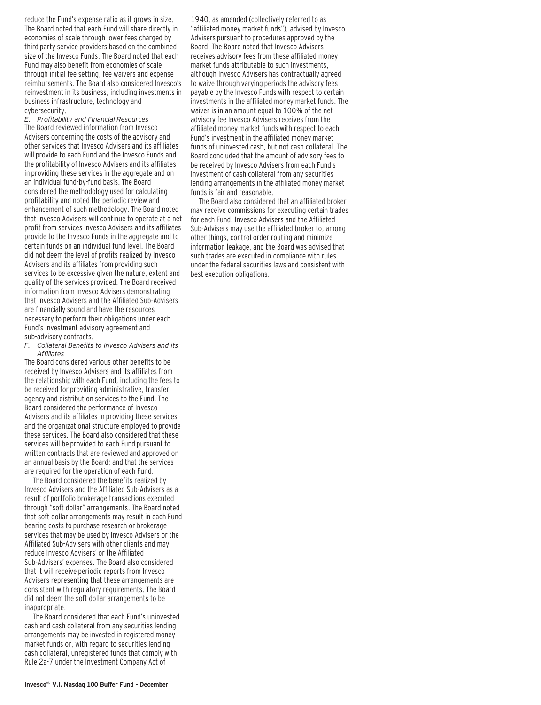reduce the Fund's expense ratio as it grows in size. The Board noted that each Fund will share directly in economies of scale through lower fees charged by third party service providers based on the combined size of the Invesco Funds. The Board noted that each Fund may also benefit from economies of scale through initial fee setting, fee waivers and expense reimbursements. The Board also considered Invesco's reinvestment in its business, including investments in business infrastructure, technology and cybersecurity.

*E. Profitability and Financial Resources* The Board reviewed information from Invesco Advisers concerning the costs of the advisory and other services that Invesco Advisers and its affiliates will provide to each Fund and the Invesco Funds and the profitability of Invesco Advisers and its affiliates in providing these services in the aggregate and on an individual fund-by-fund basis. The Board considered the methodology used for calculating profitability and noted the periodic review and enhancement of such methodology. The Board noted that Invesco Advisers will continue to operate at a net profit from services Invesco Advisers and its affiliates provide to the Invesco Funds in the aggregate and to certain funds on an individual fund level. The Board did not deem the level of profits realized by Invesco Advisers and its affiliates from providing such services to be excessive given the nature, extent and quality of the services provided. The Board received information from Invesco Advisers demonstrating that Invesco Advisers and the Affiliated Sub-Advisers are financially sound and have the resources necessary to perform their obligations under each Fund's investment advisory agreement and sub-advisory contracts.

*F. Collateral Benefits to Invesco Advisers and its Affiliates*

The Board considered various other benefits to be received by Invesco Advisers and its affiliates from the relationship with each Fund, including the fees to be received for providing administrative, transfer agency and distribution services to the Fund. The Board considered the performance of Invesco Advisers and its affiliates in providing these services and the organizational structure employed to provide these services. The Board also considered that these services will be provided to each Fund pursuant to written contracts that are reviewed and approved on an annual basis by the Board; and that the services are required for the operation of each Fund.

The Board considered the benefits realized by Invesco Advisers and the Affiliated Sub-Advisers as a result of portfolio brokerage transactions executed through "soft dollar" arrangements. The Board noted that soft dollar arrangements may result in each Fund bearing costs to purchase research or brokerage services that may be used by Invesco Advisers or the Affiliated Sub-Advisers with other clients and may reduce Invesco Advisers' or the Affiliated Sub-Advisers' expenses. The Board also considered that it will receive periodic reports from Invesco Advisers representing that these arrangements are consistent with regulatory requirements. The Board did not deem the soft dollar arrangements to be inappropriate.

The Board considered that each Fund's uninvested cash and cash collateral from any securities lending arrangements may be invested in registered money market funds or, with regard to securities lending cash collateral, unregistered funds that comply with Rule 2a-7 under the Investment Company Act of

1940, as amended (collectively referred to as "affiliated money market funds"), advised by Invesco Advisers pursuant to procedures approved by the Board. The Board noted that Invesco Advisers receives advisory fees from these affiliated money market funds attributable to such investments, although Invesco Advisers has contractually agreed to waive through varying periods the advisory fees payable by the Invesco Funds with respect to certain investments in the affiliated money market funds. The waiver is in an amount equal to 100% of the net advisory fee Invesco Advisers receives from the affiliated money market funds with respect to each Fund's investment in the affiliated money market funds of uninvested cash, but not cash collateral. The Board concluded that the amount of advisory fees to be received by Invesco Advisers from each Fund's investment of cash collateral from any securities lending arrangements in the affiliated money market funds is fair and reasonable.

The Board also considered that an affiliated broker may receive commissions for executing certain trades for each Fund. Invesco Advisers and the Affiliated Sub-Advisers may use the affiliated broker to, among other things, control order routing and minimize information leakage, and the Board was advised that such trades are executed in compliance with rules under the federal securities laws and consistent with best execution obligations.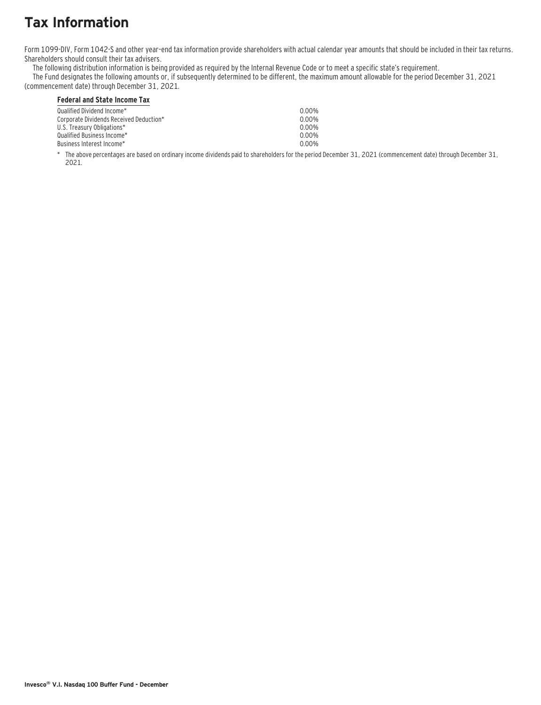## **Tax Information**

Form 1099-DIV, Form 1042-S and other year–end tax information provide shareholders with actual calendar year amounts that should be included in their tax returns. Shareholders should consult their tax advisers.

The following distribution information is being provided as required by the Internal Revenue Code or to meet a specific state's requirement.

The Fund designates the following amounts or, if subsequently determined to be different, the maximum amount allowable for the period December 31, 2021 (commencement date) through December 31, 2021.

#### **Federal and State Income Tax**

| Qualified Dividend Income*              | 0.00% |
|-----------------------------------------|-------|
| Corporate Dividends Received Deduction* | 0 00% |
| U.S. Treasury Obligations*              | 0.00% |
| Qualified Business Income*_             | 0.00% |
| Business Interest Income*_              | 0 00% |
|                                         |       |

\* The above percentages are based on ordinary income dividends paid to shareholders for the period December 31, 2021 (commencement date) through December 31, 2021.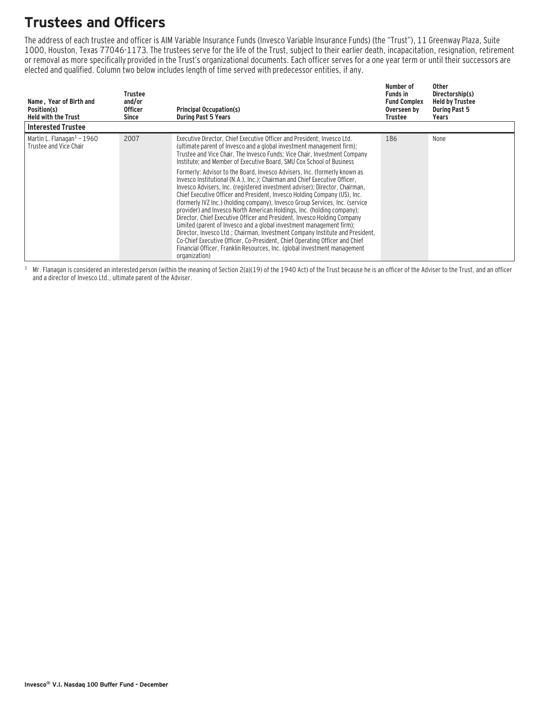### **Trustees and Officers**

The address of each trustee and officer is AIM Variable Insurance Funds (Invesco Variable Insurance Funds) (the "Trust"), 11 Greenway Plaza, Suite 1000, Houston, Texas 77046-1173. The trustees serve for the life of the Trust, subject to their earlier death, incapacitation, resignation, retirement or removal as more specifically provided in the Trust's organizational documents. Each officer serves for a one year term or until their successors are elected and qualified. Column two below includes length of time served with predecessor entities, if any.

| Name, Year of Birth and<br>Position(s)<br><b>Held with the Trust</b> | Trustee<br>and/or<br><b>Officer</b><br>Since | <b>Principal Occupation(s)</b><br><b>During Past 5 Years</b>                                                                                                                                                                                                                                                                                                                                                                                                                                                                                                                                                                                                                                                                                                                                                                                                                                                                                                                                                                                                                                               | Number of<br><b>Funds in</b><br><b>Fund Complex</b><br>Overseen by<br>Trustee | Other<br>Directorship(s)<br><b>Held by Trustee</b><br><b>During Past 5</b><br>Years |
|----------------------------------------------------------------------|----------------------------------------------|------------------------------------------------------------------------------------------------------------------------------------------------------------------------------------------------------------------------------------------------------------------------------------------------------------------------------------------------------------------------------------------------------------------------------------------------------------------------------------------------------------------------------------------------------------------------------------------------------------------------------------------------------------------------------------------------------------------------------------------------------------------------------------------------------------------------------------------------------------------------------------------------------------------------------------------------------------------------------------------------------------------------------------------------------------------------------------------------------------|-------------------------------------------------------------------------------|-------------------------------------------------------------------------------------|
| <b>Interested Trustee</b>                                            |                                              |                                                                                                                                                                                                                                                                                                                                                                                                                                                                                                                                                                                                                                                                                                                                                                                                                                                                                                                                                                                                                                                                                                            |                                                                               |                                                                                     |
| Martin L. Flanagan $1$ – 1960<br>Trustee and Vice Chair              | 2007                                         | Executive Director, Chief Executive Officer and President, Invesco Ltd.<br>(ultimate parent of Invesco and a global investment management firm);<br>Trustee and Vice Chair, The Invesco Funds; Vice Chair, Investment Company<br>Institute; and Member of Executive Board, SMU Cox School of Business<br>Formerly: Advisor to the Board, Invesco Advisers, Inc. (formerly known as<br>Invesco Institutional (N.A.), Inc.): Chairman and Chief Executive Officer.<br>Invesco Advisers, Inc. (registered investment adviser); Director, Chairman,<br>Chief Executive Officer and President, Invesco Holding Company (US), Inc.<br>(formerly IVZ Inc.) (holding company), Invesco Group Services, Inc. (service<br>provider) and Invesco North American Holdings, Inc. (holding company);<br>Director, Chief Executive Officer and President, Invesco Holding Company<br>Limited (parent of Invesco and a global investment management firm);<br>Director, Invesco Ltd.; Chairman, Investment Company Institute and President,<br>Co-Chief Executive Officer, Co-President, Chief Operating Officer and Chief | 186                                                                           | None                                                                                |
|                                                                      |                                              | Financial Officer, Franklin Resources, Inc. (global investment management<br>organization)                                                                                                                                                                                                                                                                                                                                                                                                                                                                                                                                                                                                                                                                                                                                                                                                                                                                                                                                                                                                                 |                                                                               |                                                                                     |

 $1$  Mr. Flanagan is considered an interested person (within the meaning of Section 2(a)(19) of the 1940 Act) of the Trust because he is an officer of the Adviser to the Trust, and an officer and a director of Invesco Ltd., ultimate parent of the Adviser.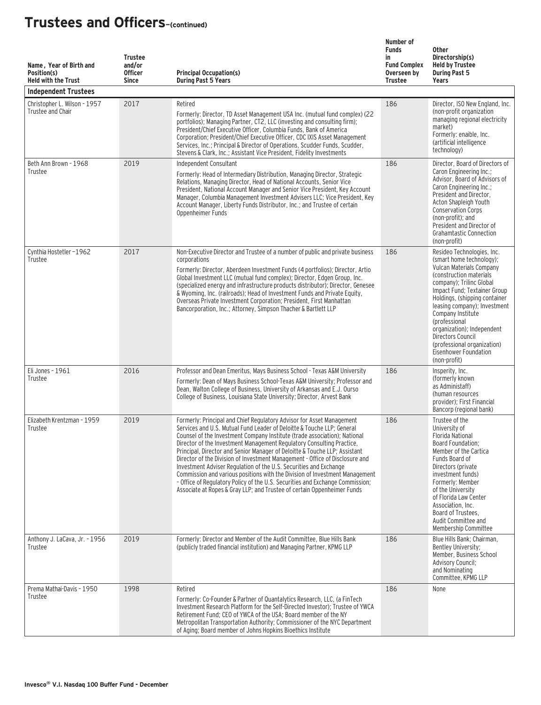| Name, Year of Birth and<br>Position(s)<br><b>Held with the Trust</b><br><b>Independent Trustees</b> | <b>Trustee</b><br>and/or<br><b>Officer</b><br><b>Since</b> | <b>Principal Occupation(s)</b><br><b>During Past 5 Years</b>                                                                                                                                                                                                                                                                                                                                                                                                                                                                                                                                                                                                                                                                                                                        | Number of<br><b>Funds</b><br>in<br><b>Fund Complex</b><br>Overseen by<br><b>Trustee</b> | <b>Other</b><br>Directorship(s)<br><b>Held by Trustee</b><br><b>During Past 5</b><br>Years                                                                                                                                                                                                                                                                                                                          |
|-----------------------------------------------------------------------------------------------------|------------------------------------------------------------|-------------------------------------------------------------------------------------------------------------------------------------------------------------------------------------------------------------------------------------------------------------------------------------------------------------------------------------------------------------------------------------------------------------------------------------------------------------------------------------------------------------------------------------------------------------------------------------------------------------------------------------------------------------------------------------------------------------------------------------------------------------------------------------|-----------------------------------------------------------------------------------------|---------------------------------------------------------------------------------------------------------------------------------------------------------------------------------------------------------------------------------------------------------------------------------------------------------------------------------------------------------------------------------------------------------------------|
| Christopher L. Wilson - 1957<br>Trustee and Chair                                                   | 2017                                                       | Retired<br>Formerly: Director, TD Asset Management USA Inc. (mutual fund complex) (22<br>portfolios); Managing Partner, CT2, LLC (investing and consulting firm);<br>President/Chief Executive Officer, Columbia Funds, Bank of America<br>Corporation; President/Chief Executive Officer, CDC IXIS Asset Management<br>Services, Inc.; Principal & Director of Operations, Scudder Funds, Scudder,<br>Stevens & Clark, Inc.; Assistant Vice President, Fidelity Investments                                                                                                                                                                                                                                                                                                        | 186                                                                                     | Director, ISO New England, Inc.<br>(non-profit organization<br>managing regional electricity<br>market)<br>Formerly: enaible, Inc.<br>(artificial intelligence<br>technology)                                                                                                                                                                                                                                       |
| Beth Ann Brown - 1968<br>Trustee                                                                    | 2019                                                       | Independent Consultant<br>Formerly: Head of Intermediary Distribution, Managing Director, Strategic<br>Relations, Managing Director, Head of National Accounts, Senior Vice<br>President, National Account Manager and Senior Vice President, Key Account<br>Manager, Columbia Management Investment Advisers LLC; Vice President, Key<br>Account Manager, Liberty Funds Distributor, Inc.; and Trustee of certain<br>Oppenheimer Funds                                                                                                                                                                                                                                                                                                                                             | 186                                                                                     | Director, Board of Directors of<br>Caron Engineering Inc.;<br>Advisor, Board of Advisors of<br>Caron Engineering Inc.;<br>President and Director,<br>Acton Shapleigh Youth<br><b>Conservation Corps</b><br>(non-profit); and<br>President and Director of<br><b>Grahamtastic Connection</b><br>(non-profit)                                                                                                         |
| Cynthia Hostetler-1962<br>Trustee                                                                   | 2017                                                       | Non-Executive Director and Trustee of a number of public and private business<br>corporations<br>Formerly: Director, Aberdeen Investment Funds (4 portfolios); Director, Artio<br>Global Investment LLC (mutual fund complex); Director, Edgen Group, Inc.<br>(specialized energy and infrastructure products distributor); Director, Genesee<br>& Wyoming, Inc. (railroads); Head of Investment Funds and Private Equity,<br>Overseas Private Investment Corporation; President, First Manhattan<br>Bancorporation, Inc.; Attorney, Simpson Thacher & Bartlett LLP                                                                                                                                                                                                                 | 186                                                                                     | Resideo Technologies, Inc.<br>(smart home technology);<br><b>Vulcan Materials Company</b><br>(construction materials)<br>company); Trilinc Global<br>Impact Fund: Textainer Group<br>Holdings, (shipping container<br>leasing company); Investment<br>Company Institute<br>(professional<br>organization); Independent<br>Directors Council<br>(professional organization)<br>Eisenhower Foundation<br>(non-profit) |
| Eli Jones - 1961<br>Trustee                                                                         | 2016                                                       | Professor and Dean Emeritus, Mays Business School - Texas A&M University<br>Formerly: Dean of Mays Business School-Texas A&M University; Professor and<br>Dean, Walton College of Business, University of Arkansas and E.J. Ourso<br>College of Business, Louisiana State University; Director, Arvest Bank                                                                                                                                                                                                                                                                                                                                                                                                                                                                         | 186                                                                                     | Insperity, Inc.<br>(formerly known<br>as Administaff)<br>(human resources<br>provider): First Financial<br>Bancorp (regional bank)                                                                                                                                                                                                                                                                                  |
| Elizabeth Krentzman - 1959<br>Trustee                                                               | 2019                                                       | Formerly: Principal and Chief Regulatory Advisor for Asset Management<br>Services and U.S. Mutual Fund Leader of Deloitte & Touche LLP: General<br>Counsel of the Investment Company Institute (trade association); National<br>Director of the Investment Management Regulatory Consulting Practice,<br>Principal, Director and Senior Manager of Deloitte & Touche LLP; Assistant<br>Director of the Division of Investment Management - Office of Disclosure and<br>Investment Adviser Regulation of the U.S. Securities and Exchange<br>Commission and various positions with the Division of Investment Management<br>- Office of Regulatory Policy of the U.S. Securities and Exchange Commission;<br>Associate at Ropes & Gray LLP; and Trustee of certain Oppenheimer Funds | 186                                                                                     | Trustee of the<br>University of<br>Florida National<br>Board Foundation;<br>Member of the Cartica<br>Funds Board of<br>Directors (private<br>investment funds)<br>Formerly: Member<br>of the University<br>of Florida Law Center<br>Association, Inc.<br>Board of Trustees,<br>Audit Committee and<br>Membership Committee                                                                                          |
| Anthony J. LaCava, Jr. - 1956<br>Trustee                                                            | 2019                                                       | Formerly: Director and Member of the Audit Committee, Blue Hills Bank<br>(publicly traded financial institution) and Managing Partner, KPMG LLP                                                                                                                                                                                                                                                                                                                                                                                                                                                                                                                                                                                                                                     | 186                                                                                     | Blue Hills Bank; Chairman,<br>Bentley University;<br>Member, Business School<br><b>Advisory Council;</b><br>and Nominating<br>Committee, KPMG LLP                                                                                                                                                                                                                                                                   |
| Prema Mathai-Davis - 1950<br>Trustee                                                                | 1998                                                       | Retired<br>Formerly: Co-Founder & Partner of Quantalytics Research, LLC, (a FinTech<br>Investment Research Platform for the Self-Directed Investor); Trustee of YWCA<br>Retirement Fund; CEO of YWCA of the USA; Board member of the NY<br>Metropolitan Transportation Authority; Commissioner of the NYC Department<br>of Aging; Board member of Johns Hopkins Bioethics Institute                                                                                                                                                                                                                                                                                                                                                                                                 | 186                                                                                     | None                                                                                                                                                                                                                                                                                                                                                                                                                |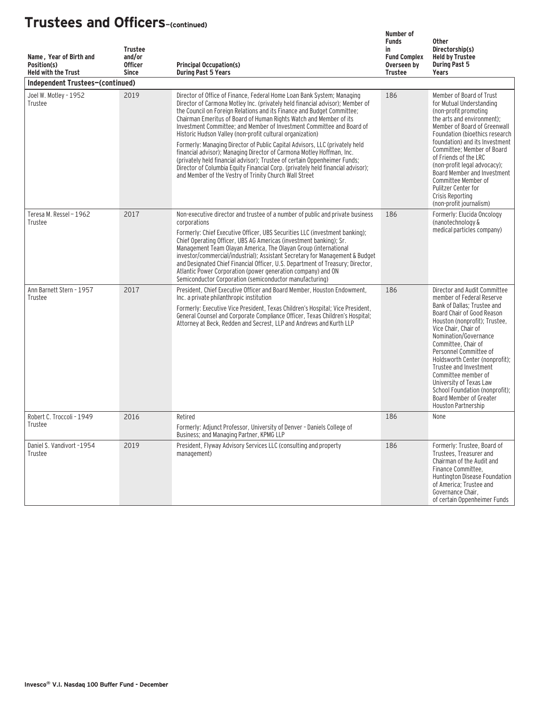| Name, Year of Birth and<br>Position(s)<br><b>Held with the Trust</b> | <b>Trustee</b><br>and/or<br><b>Officer</b><br><b>Since</b> | <b>Principal Occupation(s)</b><br><b>During Past 5 Years</b>                                                                                                                                                                                                                                                                                                                                                                                                                                                                                                                                                                                                                                                                                                                                                                    | Number of<br><b>Funds</b><br>in<br><b>Fund Complex</b><br>Overseen by<br><b>Trustee</b> | <b>Other</b><br>Directorship(s)<br><b>Held by Trustee</b><br><b>During Past 5</b><br>Years                                                                                                                                                                                                                                                                                                                                                                  |
|----------------------------------------------------------------------|------------------------------------------------------------|---------------------------------------------------------------------------------------------------------------------------------------------------------------------------------------------------------------------------------------------------------------------------------------------------------------------------------------------------------------------------------------------------------------------------------------------------------------------------------------------------------------------------------------------------------------------------------------------------------------------------------------------------------------------------------------------------------------------------------------------------------------------------------------------------------------------------------|-----------------------------------------------------------------------------------------|-------------------------------------------------------------------------------------------------------------------------------------------------------------------------------------------------------------------------------------------------------------------------------------------------------------------------------------------------------------------------------------------------------------------------------------------------------------|
| Independent Trustees-(continued)                                     |                                                            |                                                                                                                                                                                                                                                                                                                                                                                                                                                                                                                                                                                                                                                                                                                                                                                                                                 |                                                                                         |                                                                                                                                                                                                                                                                                                                                                                                                                                                             |
| Joel W. Motley - 1952<br>Trustee                                     | 2019                                                       | Director of Office of Finance, Federal Home Loan Bank System; Managing<br>Director of Carmona Motley Inc. (privately held financial advisor); Member of<br>the Council on Foreign Relations and its Finance and Budget Committee;<br>Chairman Emeritus of Board of Human Rights Watch and Member of its<br>Investment Committee; and Member of Investment Committee and Board of<br>Historic Hudson Valley (non-profit cultural organization)<br>Formerly: Managing Director of Public Capital Advisors, LLC (privately held<br>financial advisor); Managing Director of Carmona Motley Hoffman, Inc.<br>(privately held financial advisor); Trustee of certain Oppenheimer Funds;<br>Director of Columbia Equity Financial Corp. (privately held financial advisor);<br>and Member of the Vestry of Trinity Church Wall Street | 186                                                                                     | Member of Board of Trust<br>for Mutual Understanding<br>(non-profit promoting<br>the arts and environment);<br>Member of Board of Greenwall<br>Foundation (bioethics research<br>foundation) and its Investment<br>Committee: Member of Board<br>of Friends of the LRC<br>(non-profit legal advocacy);<br>Board Member and Investment<br>Committee Member of<br>Pulitzer Center for<br>Crisis Reporting<br>(non-profit journalism)                          |
| Teresa M. Ressel - 1962<br>Trustee                                   | 2017                                                       | Non-executive director and trustee of a number of public and private business<br>corporations<br>Formerly: Chief Executive Officer, UBS Securities LLC (investment banking);<br>Chief Operating Officer, UBS AG Americas (investment banking); Sr.<br>Management Team Olayan America, The Olayan Group (international<br>investor/commercial/industrial); Assistant Secretary for Management & Budget<br>and Designated Chief Financial Officer, U.S. Department of Treasury; Director,<br>Atlantic Power Corporation (power generation company) and ON<br>Semiconductor Corporation (semiconductor manufacturing)                                                                                                                                                                                                              | 186                                                                                     | Formerly: Elucida Oncology<br>(nanotechnology &<br>medical particles company)                                                                                                                                                                                                                                                                                                                                                                               |
| Ann Barnett Stern - 1957<br>Trustee                                  | 2017                                                       | President, Chief Executive Officer and Board Member, Houston Endowment,<br>Inc. a private philanthropic institution<br>Formerly: Executive Vice President, Texas Children's Hospital; Vice President,<br>General Counsel and Corporate Compliance Officer, Texas Children's Hospital;<br>Attorney at Beck, Redden and Secrest, LLP and Andrews and Kurth LLP                                                                                                                                                                                                                                                                                                                                                                                                                                                                    | 186                                                                                     | Director and Audit Committee<br>member of Federal Reserve<br>Bank of Dallas: Trustee and<br>Board Chair of Good Reason<br>Houston (nonprofit); Trustee,<br>Vice Chair, Chair of<br>Nomination/Governance<br>Committee, Chair of<br>Personnel Committee of<br>Holdsworth Center (nonprofit);<br>Trustee and Investment<br>Committee member of<br>University of Texas Law<br>School Foundation (nonprofit):<br>Board Member of Greater<br>Houston Partnership |
| Robert C. Troccoli - 1949<br>Trustee                                 | 2016                                                       | Retired<br>Formerly: Adjunct Professor, University of Denver - Daniels College of<br>Business; and Managing Partner, KPMG LLP                                                                                                                                                                                                                                                                                                                                                                                                                                                                                                                                                                                                                                                                                                   | 186                                                                                     | None                                                                                                                                                                                                                                                                                                                                                                                                                                                        |
| Daniel S. Vandivort -1954<br>Trustee                                 | 2019                                                       | President, Flyway Advisory Services LLC (consulting and property<br>management)                                                                                                                                                                                                                                                                                                                                                                                                                                                                                                                                                                                                                                                                                                                                                 | 186                                                                                     | Formerly: Trustee, Board of<br>Trustees, Treasurer and<br>Chairman of the Audit and<br>Finance Committee,<br>Huntington Disease Foundation<br>of America: Trustee and<br>Governance Chair,<br>of certain Oppenheimer Funds                                                                                                                                                                                                                                  |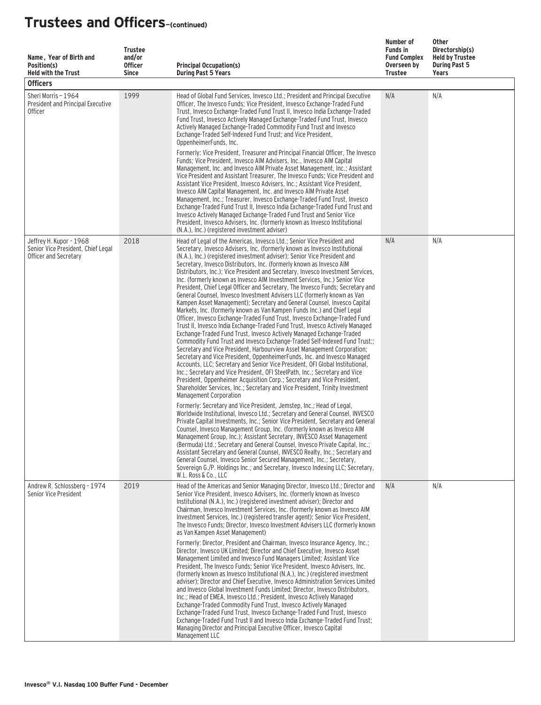| Name, Year of Birth and<br>Position(s)<br><b>Held with the Trust</b><br><b>Officers</b> | <b>Trustee</b><br>and/or<br><b>Officer</b><br><b>Since</b> | <b>Principal Occupation(s)</b><br><b>During Past 5 Years</b>                                                                                                                                                                                                                                                                                                                                                                                                                                                                                                                                                                                                                                                                                                                                                                                                                                                                                                                                                                                                                                                                                                                                                                                                                                                                                                                                                                                                                                                                                                                                                                                                                                          | Number of<br><b>Funds in</b><br><b>Fund Complex</b><br>Overseen by<br>Trustee | <b>Other</b><br>Directorship(s)<br><b>Held by Trustee</b><br><b>During Past 5</b><br>Years |
|-----------------------------------------------------------------------------------------|------------------------------------------------------------|-------------------------------------------------------------------------------------------------------------------------------------------------------------------------------------------------------------------------------------------------------------------------------------------------------------------------------------------------------------------------------------------------------------------------------------------------------------------------------------------------------------------------------------------------------------------------------------------------------------------------------------------------------------------------------------------------------------------------------------------------------------------------------------------------------------------------------------------------------------------------------------------------------------------------------------------------------------------------------------------------------------------------------------------------------------------------------------------------------------------------------------------------------------------------------------------------------------------------------------------------------------------------------------------------------------------------------------------------------------------------------------------------------------------------------------------------------------------------------------------------------------------------------------------------------------------------------------------------------------------------------------------------------------------------------------------------------|-------------------------------------------------------------------------------|--------------------------------------------------------------------------------------------|
| Sheri Morris - 1964<br>President and Principal Executive<br><b>Officer</b>              | 1999                                                       | Head of Global Fund Services, Invesco Ltd.; President and Principal Executive<br>Officer, The Invesco Funds; Vice President, Invesco Exchange-Traded Fund<br>Trust, Invesco Exchange-Traded Fund Trust II, Invesco India Exchange-Traded<br>Fund Trust, Invesco Actively Managed Exchange-Traded Fund Trust, Invesco<br>Actively Managed Exchange-Traded Commodity Fund Trust and Invesco<br>Exchange-Traded Self-Indexed Fund Trust: and Vice President.<br>OppenheimerFunds, Inc.<br>Formerly: Vice President, Treasurer and Principal Financial Officer, The Invesco<br>Funds: Vice President, Invesco AIM Advisers, Inc., Invesco AIM Capital<br>Management, Inc. and Invesco AIM Private Asset Management, Inc.; Assistant<br>Vice President and Assistant Treasurer, The Invesco Funds; Vice President and<br>Assistant Vice President, Invesco Advisers, Inc.; Assistant Vice President,<br>Invesco AIM Capital Management, Inc. and Invesco AIM Private Asset<br>Management, Inc.; Treasurer, Invesco Exchange-Traded Fund Trust, Invesco<br>Exchange-Traded Fund Trust II, Invesco India Exchange-Traded Fund Trust and<br>Invesco Actively Managed Exchange-Traded Fund Trust and Senior Vice<br>President, Invesco Advisers, Inc. (formerly known as Invesco Institutional<br>(N.A.), Inc.) (registered investment adviser)                                                                                                                                                                                                                                                                                                                                                                | N/A                                                                           | N/A                                                                                        |
| Jeffrey H. Kupor - 1968<br>Senior Vice President, Chief Legal<br>Officer and Secretary  | 2018                                                       | Head of Legal of the Americas, Invesco Ltd.; Senior Vice President and<br>Secretary, Invesco Advisers, Inc. (formerly known as Invesco Institutional<br>(N.A.), Inc.) (registered investment adviser); Senior Vice President and<br>Secretary, Invesco Distributors, Inc. (formerly known as Invesco AIM<br>Distributors, Inc.); Vice President and Secretary, Invesco Investment Services,<br>Inc. (formerly known as Invesco AIM Investment Services, Inc.) Senior Vice<br>President, Chief Legal Officer and Secretary, The Invesco Funds; Secretary and<br>General Counsel, Invesco Investment Advisers LLC (formerly known as Van<br>Kampen Asset Management); Secretary and General Counsel, Invesco Capital<br>Markets, Inc. (formerly known as Van Kampen Funds Inc.) and Chief Legal<br>Officer, Invesco Exchange-Traded Fund Trust, Invesco Exchange-Traded Fund<br>Trust II, Invesco India Exchange-Traded Fund Trust, Invesco Actively Managed<br>Exchange-Traded Fund Trust, Invesco Actively Managed Exchange-Traded<br>Commodity Fund Trust and Invesco Exchange-Traded Self-Indexed Fund Trust;;<br>Secretary and Vice President, Harbourview Asset Management Corporation;<br>Secretary and Vice President, OppenheimerFunds, Inc. and Invesco Managed<br>Accounts, LLC; Secretary and Senior Vice President, OFI Global Institutional,<br>Inc.; Secretary and Vice President, OFI SteelPath, Inc.; Secretary and Vice<br>President, Oppenheimer Acquisition Corp.; Secretary and Vice President,<br>Shareholder Services, Inc.; Secretary and Vice President, Trinity Investment<br>Management Corporation<br>Formerly: Secretary and Vice President, Jemstep, Inc.; Head of Legal, | N/A                                                                           | N/A                                                                                        |
|                                                                                         |                                                            | Worldwide Institutional, Invesco Ltd.; Secretary and General Counsel, INVESCO<br>Private Capital Investments, Inc.; Senior Vice President, Secretary and General<br>Counsel, Invesco Management Group, Inc. (formerly known as Invesco AIM<br>Management Group, Inc.); Assistant Secretary, INVESCO Asset Management<br>(Bermuda) Ltd.; Secretary and General Counsel, Invesco Private Capital, Inc.;<br>Assistant Secretary and General Counsel, INVESCO Realty, Inc.; Secretary and<br>General Counsel, Invesco Senior Secured Management, Inc.; Secretary,<br>Sovereign G./P. Holdings Inc.; and Secretary, Invesco Indexing LLC; Secretary,<br>W.L. Ross & Co., LLC                                                                                                                                                                                                                                                                                                                                                                                                                                                                                                                                                                                                                                                                                                                                                                                                                                                                                                                                                                                                                               |                                                                               |                                                                                            |
| Andrew R. Schlossberg - 1974<br>Senior Vice President                                   | 2019                                                       | Head of the Americas and Senior Managing Director, Invesco Ltd.; Director and<br>Senior Vice President, Invesco Advisers, Inc. (formerly known as Invesco<br>Institutional (N.A.), Inc.) (registered investment adviser); Director and<br>Chairman, Invesco Investment Services, Inc. (formerly known as Invesco AIM<br>Investment Services, Inc.) (registered transfer agent); Senior Vice President,<br>The Invesco Funds; Director, Invesco Investment Advisers LLC (formerly known<br>as Van Kampen Asset Management)<br>Formerly: Director, President and Chairman, Invesco Insurance Agency, Inc.;<br>Director, Invesco UK Limited; Director and Chief Executive, Invesco Asset<br>Management Limited and Invesco Fund Managers Limited; Assistant Vice<br>President, The Invesco Funds; Senior Vice President, Invesco Advisers, Inc.<br>(formerly known as Invesco Institutional (N.A.), Inc.) (registered investment<br>adviser); Director and Chief Executive, Invesco Administration Services Limited<br>and Invesco Global Investment Funds Limited; Director, Invesco Distributors,<br>Inc.; Head of EMEA, Invesco Ltd.; President, Invesco Actively Managed<br>Exchange-Traded Commodity Fund Trust, Invesco Actively Managed<br>Exchange-Traded Fund Trust, Invesco Exchange-Traded Fund Trust, Invesco<br>Exchange-Traded Fund Trust II and Invesco India Exchange-Traded Fund Trust;<br>Managing Director and Principal Executive Officer, Invesco Capital<br>Management LLC                                                                                                                                                                                                         | N/A                                                                           | N/A                                                                                        |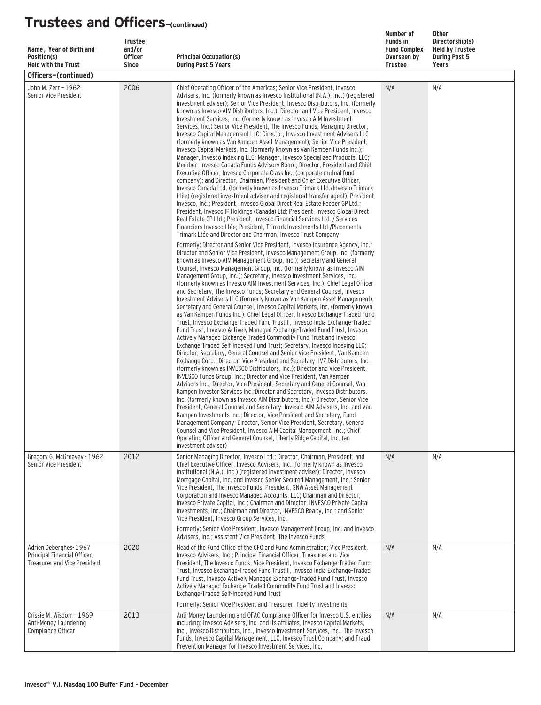| Name, Year of Birth and<br>Position(s)                                                                                             | <b>Trustee</b><br>and/or<br><b>Officer</b> | <b>Principal Occupation(s)</b>                                                                                                                                                                                                                                                                                                                                                                                                                                                                                                                                                                                                                                                                                                                                                                                                                                                                                                                                                                                                                                                                                                                                                                                                                                                                                                                                                                                                                                                                                                                                                                                                                                                                                                                                                                                                                                                                                                                                                                                                                                                                        | Number of<br><b>Funds in</b><br><b>Fund Complex</b><br>Overseen by | <b>Other</b><br>Directorship(s)<br><b>Held by Trustee</b><br><b>During Past 5</b> |  |  |  |  |
|------------------------------------------------------------------------------------------------------------------------------------|--------------------------------------------|-------------------------------------------------------------------------------------------------------------------------------------------------------------------------------------------------------------------------------------------------------------------------------------------------------------------------------------------------------------------------------------------------------------------------------------------------------------------------------------------------------------------------------------------------------------------------------------------------------------------------------------------------------------------------------------------------------------------------------------------------------------------------------------------------------------------------------------------------------------------------------------------------------------------------------------------------------------------------------------------------------------------------------------------------------------------------------------------------------------------------------------------------------------------------------------------------------------------------------------------------------------------------------------------------------------------------------------------------------------------------------------------------------------------------------------------------------------------------------------------------------------------------------------------------------------------------------------------------------------------------------------------------------------------------------------------------------------------------------------------------------------------------------------------------------------------------------------------------------------------------------------------------------------------------------------------------------------------------------------------------------------------------------------------------------------------------------------------------------|--------------------------------------------------------------------|-----------------------------------------------------------------------------------|--|--|--|--|
| <b>Held with the Trust</b><br><b>Since</b><br><b>During Past 5 Years</b><br><b>Trustee</b><br><b>Years</b><br>Officers-(continued) |                                            |                                                                                                                                                                                                                                                                                                                                                                                                                                                                                                                                                                                                                                                                                                                                                                                                                                                                                                                                                                                                                                                                                                                                                                                                                                                                                                                                                                                                                                                                                                                                                                                                                                                                                                                                                                                                                                                                                                                                                                                                                                                                                                       |                                                                    |                                                                                   |  |  |  |  |
| John M. Zerr - 1962<br>Senior Vice President                                                                                       | 2006                                       | Chief Operating Officer of the Americas; Senior Vice President, Invesco<br>Advisers, Inc. (formerly known as Invesco Institutional (N.A.), Inc.) (registered<br>investment adviser); Senior Vice President, Invesco Distributors, Inc. (formerly<br>known as Invesco AIM Distributors, Inc.); Director and Vice President, Invesco<br>Investment Services, Inc. (formerly known as Invesco AIM Investment<br>Services, Inc.) Senior Vice President, The Invesco Funds; Managing Director,<br>Invesco Capital Management LLC; Director, Invesco Investment Advisers LLC<br>(formerly known as Van Kampen Asset Management); Senior Vice President,<br>Invesco Capital Markets, Inc. (formerly known as Van Kampen Funds Inc.);<br>Manager, Invesco Indexing LLC; Manager, Invesco Specialized Products, LLC;<br>Member, Invesco Canada Funds Advisory Board; Director, President and Chief<br>Executive Officer, Invesco Corporate Class Inc. (corporate mutual fund<br>company); and Director, Chairman, President and Chief Executive Officer,<br>Invesco Canada Ltd. (formerly known as Invesco Trimark Ltd./Invesco Trimark<br>Ltèe) (registered investment adviser and registered transfer agent); President,<br>Invesco, Inc.; President, Invesco Global Direct Real Estate Feeder GP Ltd.;<br>President, Invesco IP Holdings (Canada) Ltd; President, Invesco Global Direct<br>Real Estate GP Ltd.; President, Invesco Financial Services Ltd. / Services<br>Financiers Invesco Ltée; President, Trimark Investments Ltd./Placements<br>Trimark Ltée and Director and Chairman, Invesco Trust Company                                                                                                                                                                                                                                                                                                                                                                                                                                                                                           | N/A                                                                | N/A                                                                               |  |  |  |  |
|                                                                                                                                    |                                            | Formerly: Director and Senior Vice President, Invesco Insurance Agency, Inc.;<br>Director and Senior Vice President, Invesco Management Group, Inc. (formerly<br>known as Invesco AIM Management Group, Inc.); Secretary and General<br>Counsel, Invesco Management Group, Inc. (formerly known as Invesco AIM<br>Management Group, Inc.); Secretary, Invesco Investment Services, Inc.<br>(formerly known as Invesco AIM Investment Services, Inc.); Chief Legal Officer<br>and Secretary, The Invesco Funds; Secretary and General Counsel, Invesco<br>Investment Advisers LLC (formerly known as Van Kampen Asset Management);<br>Secretary and General Counsel, Invesco Capital Markets, Inc. (formerly known<br>as Van Kampen Funds Inc.); Chief Legal Officer, Invesco Exchange-Traded Fund<br>Trust, Invesco Exchange-Traded Fund Trust II, Invesco India Exchange-Traded<br>Fund Trust, Invesco Actively Managed Exchange-Traded Fund Trust, Invesco<br>Actively Managed Exchange-Traded Commodity Fund Trust and Invesco<br>Exchange-Traded Self-Indexed Fund Trust; Secretary, Invesco Indexing LLC;<br>Director, Secretary, General Counsel and Senior Vice President, Van Kampen<br>Exchange Corp.; Director, Vice President and Secretary, IVZ Distributors, Inc.<br>(formerly known as INVESCO Distributors, Inc.); Director and Vice President,<br>INVESCO Funds Group, Inc.; Director and Vice President, Van Kampen<br>Advisors Inc.; Director, Vice President, Secretary and General Counsel, Van<br>Kampen Investor Services Inc.; Director and Secretary, Invesco Distributors,<br>Inc. (formerly known as Invesco AIM Distributors, Inc.); Director, Senior Vice<br>President, General Counsel and Secretary, Invesco AIM Advisers, Inc. and Van<br>Kampen Investments Inc.; Director, Vice President and Secretary, Fund<br>Management Company; Director, Senior Vice President, Secretary, General<br>Counsel and Vice President, Invesco AIM Capital Management, Inc.; Chief<br>Operating Officer and General Counsel, Liberty Ridge Capital, Inc. (an<br>investment adviser) |                                                                    |                                                                                   |  |  |  |  |
| Gregory G. McGreevey - 1962<br>Senior Vice President                                                                               | 2012                                       | Senior Managing Director, Invesco Ltd.; Director, Chairman, President, and<br>Chief Executive Officer, Invesco Advisers, Inc. (formerly known as Invesco<br>Institutional (N.A.), Inc.) (registered investment adviser); Director, Invesco<br>Mortgage Capital, Inc. and Invesco Senior Secured Management, Inc.; Senior<br>Vice President, The Invesco Funds; President, SNW Asset Management<br>Corporation and Invesco Managed Accounts, LLC; Chairman and Director,<br>Invesco Private Capital, Inc.; Chairman and Director, INVESCO Private Capital<br>Investments, Inc.; Chairman and Director, INVESCO Realty, Inc.; and Senior<br>Vice President, Invesco Group Services, Inc.<br>Formerly: Senior Vice President, Invesco Management Group, Inc. and Invesco                                                                                                                                                                                                                                                                                                                                                                                                                                                                                                                                                                                                                                                                                                                                                                                                                                                                                                                                                                                                                                                                                                                                                                                                                                                                                                                                 | N/A                                                                | N/A                                                                               |  |  |  |  |
| Adrien Deberghes-1967<br>Principal Financial Officer.<br><b>Treasurer and Vice President</b>                                       | 2020                                       | Advisers, Inc.; Assistant Vice President, The Invesco Funds<br>Head of the Fund Office of the CFO and Fund Administration; Vice President,<br>Invesco Advisers, Inc.; Principal Financial Officer, Treasurer and Vice<br>President, The Invesco Funds; Vice President, Invesco Exchange-Traded Fund<br>Trust, Invesco Exchange-Traded Fund Trust II, Invesco India Exchange-Traded<br>Fund Trust, Invesco Actively Managed Exchange-Traded Fund Trust, Invesco<br>Actively Managed Exchange-Traded Commodity Fund Trust and Invesco<br>Exchange-Traded Self-Indexed Fund Trust<br>Formerly: Senior Vice President and Treasurer, Fidelity Investments                                                                                                                                                                                                                                                                                                                                                                                                                                                                                                                                                                                                                                                                                                                                                                                                                                                                                                                                                                                                                                                                                                                                                                                                                                                                                                                                                                                                                                                 | N/A                                                                | N/A                                                                               |  |  |  |  |
| Crissie M. Wisdom - 1969<br>Anti-Money Laundering<br>Compliance Officer                                                            | 2013                                       | Anti-Money Laundering and OFAC Compliance Officer for Invesco U.S. entities<br>including: Invesco Advisers, Inc. and its affiliates, Invesco Capital Markets,<br>Inc., Invesco Distributors, Inc., Invesco Investment Services, Inc., The Invesco<br>Funds, Invesco Capital Management, LLC, Invesco Trust Company; and Fraud<br>Prevention Manager for Invesco Investment Services, Inc.                                                                                                                                                                                                                                                                                                                                                                                                                                                                                                                                                                                                                                                                                                                                                                                                                                                                                                                                                                                                                                                                                                                                                                                                                                                                                                                                                                                                                                                                                                                                                                                                                                                                                                             | N/A                                                                | N/A                                                                               |  |  |  |  |